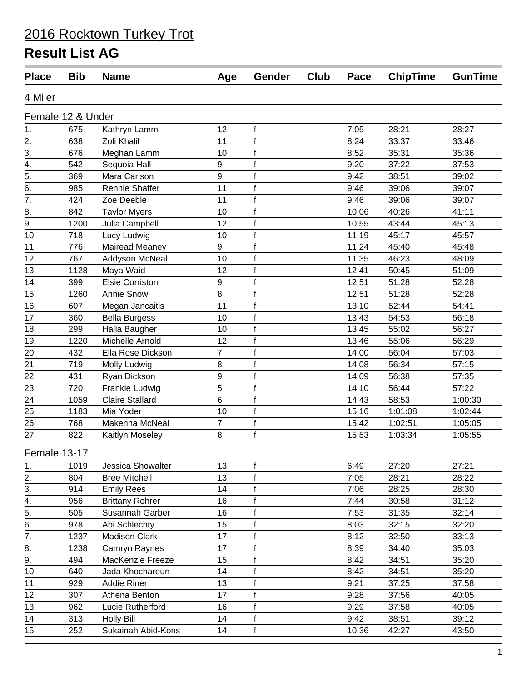| <b>Place</b>      | <b>Bib</b>        | <b>Name</b>            | Age            | Gender       | Club | Pace  | <b>ChipTime</b> | <b>GunTime</b> |
|-------------------|-------------------|------------------------|----------------|--------------|------|-------|-----------------|----------------|
| 4 Miler           |                   |                        |                |              |      |       |                 |                |
|                   | Female 12 & Under |                        |                |              |      |       |                 |                |
| 1.                | 675               | Kathryn Lamm           | 12             | f            |      | 7:05  | 28:21           | 28:27          |
| 2.                | 638               | Zoli Khalil            | 11             | $\mathsf{f}$ |      | 8:24  | 33:37           | 33:46          |
| 3.                | 676               | Meghan Lamm            | 10             | $\mathsf f$  |      | 8:52  | 35:31           | 35:36          |
| 4.                | 542               | Sequoia Hall           | 9              | $\mathsf f$  |      | 9:20  | 37:22           | 37:53          |
| $\overline{5}$ .  | 369               | Mara Carlson           | 9              | $\mathsf f$  |      | 9:42  | 38:51           | 39:02          |
| 6.                | 985               | Rennie Shaffer         | 11             | $\mathsf f$  |      | 9:46  | 39:06           | 39:07          |
| 7.                | 424               | Zoe Deeble             | 11             | $\mathsf{f}$ |      | 9:46  | 39:06           | 39:07          |
| 8.                | 842               | <b>Taylor Myers</b>    | 10             | $\mathsf{f}$ |      | 10:06 | 40:26           | 41:11          |
| 9.                | 1200              | Julia Campbell         | 12             | $\mathsf f$  |      | 10:55 | 43:44           | 45:13          |
| 10.               | 718               | Lucy Ludwig            | 10             | $\mathsf f$  |      | 11:19 | 45:17           | 45:57          |
| 11.               | 776               | Mairead Meaney         | 9              | f            |      | 11:24 | 45:40           | 45:48          |
| 12.               | 767               | Addyson McNeal         | 10             | $\mathsf f$  |      | 11:35 | 46:23           | 48:09          |
| 13.               | 1128              | Maya Waid              | 12             | $\mathsf{f}$ |      | 12:41 | 50:45           | 51:09          |
| 14.               | 399               | <b>Elsie Corriston</b> | 9              | $\mathsf{f}$ |      | 12:51 | 51:28           | 52:28          |
| 15.               | 1260              | <b>Annie Snow</b>      | 8              | $\mathsf f$  |      | 12:51 | 51:28           | 52:28          |
| 16.               | 607               | Megan Jancaitis        | 11             | $\mathsf f$  |      | 13:10 | 52:44           | 54:41          |
| 17.               | 360               | <b>Bella Burgess</b>   | 10             | $\mathsf f$  |      | 13:43 | 54:53           | 56:18          |
| 18.               | 299               | Halla Baugher          | 10             | $\mathsf{f}$ |      | 13:45 | 55:02           | 56:27          |
| 19.               | 1220              | Michelle Arnold        | 12             | $\mathsf f$  |      | 13:46 | 55:06           | 56:29          |
| 20.               | 432               | Ella Rose Dickson      | $\overline{7}$ | $\mathsf f$  |      | 14:00 | 56:04           | 57:03          |
| 21.               | 719               | Molly Ludwig           | 8              | $\mathsf f$  |      | 14:08 | 56:34           | 57:15          |
| 22.               | 431               | Ryan Dickson           | 9              | f            |      | 14:09 | 56:38           | 57:35          |
| 23.               | 720               | Frankie Ludwig         | 5              | $\mathsf f$  |      | 14:10 | 56:44           | 57:22          |
| $\overline{24}$ . | 1059              | <b>Claire Stallard</b> | 6              | $\mathsf f$  |      | 14:43 | 58:53           | 1:00:30        |
| 25.               | 1183              | Mia Yoder              | 10             | $\mathsf f$  |      | 15:16 | 1:01:08         | 1:02:44        |
| 26.               | 768               | Makenna McNeal         | $\overline{7}$ | $\mathsf f$  |      | 15:42 | 1:02:51         | 1:05:05        |
| 27.               | 822               | Kaitlyn Moseley        | 8              | $\mathsf f$  |      | 15:53 | 1:03:34         | 1:05:55        |
| Female 13-17      |                   |                        |                |              |      |       |                 |                |
| 1.                | 1019              | Jessica Showalter      | 13             | $\mathsf f$  |      | 6:49  | 27:20           | 27:21          |
| 2.                | 804               | <b>Bree Mitchell</b>   | 13             | $\mathsf f$  |      | 7:05  | 28:21           | 28:22          |
| 3.                | 914               | <b>Emily Rees</b>      | 14             | f            |      | 7:06  | 28:25           | 28:30          |
| 4.                | 956               | <b>Brittany Rohrer</b> | 16             | $\mathsf f$  |      | 7:44  | 30:58           | 31:12          |
| 5.                | 505               | Susannah Garber        | 16             | $\mathsf f$  |      | 7:53  | 31:35           | 32:14          |
| 6.                | 978               | Abi Schlechty          | 15             | $\mathsf f$  |      | 8:03  | 32:15           | 32:20          |
| 7.                | 1237              | <b>Madison Clark</b>   | 17             | f            |      | 8:12  | 32:50           | 33:13          |
| 8.                | 1238              | Camryn Raynes          | 17             | f            |      | 8:39  | 34:40           | 35:03          |
| 9.                | 494               | MacKenzie Freeze       | 15             | f            |      | 8:42  | 34:51           | 35:20          |
| 10.               | 640               | Jada Khochareun        | 14             | f            |      | 8:42  | 34:51           | 35:20          |
| 11.               | 929               | <b>Addie Riner</b>     | 13             | f            |      | 9:21  | 37:25           | 37:58          |
| 12.               | 307               | Athena Benton          | 17             | f            |      | 9:28  | 37:56           | 40:05          |
| 13.               | 962               | Lucie Rutherford       | 16             | $\mathsf f$  |      | 9:29  | 37:58           | 40:05          |
| 14.               | 313               | <b>Holly Bill</b>      | 14             | f            |      | 9:42  | 38:51           | 39:12          |
| 15.               | 252               | Sukainah Abid-Kons     | 14             | $\mathsf f$  |      | 10:36 | 42:27           | 43:50          |
|                   |                   |                        |                |              |      |       |                 |                |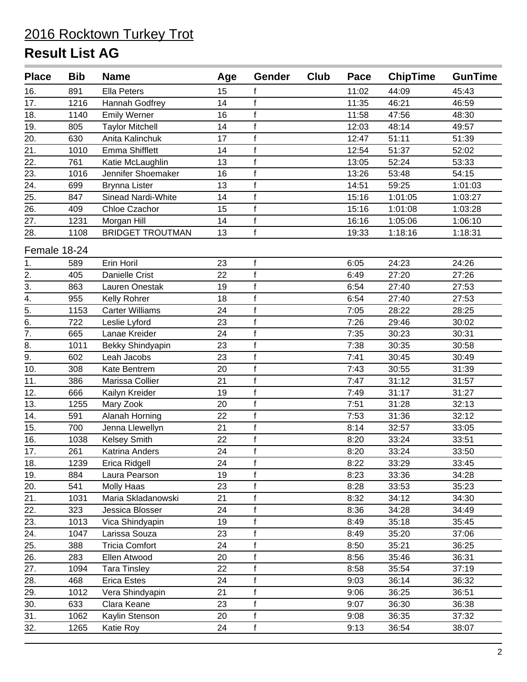| <b>Place</b>     | <b>Bib</b> | <b>Name</b>             | Age | Gender       | Club | Pace  | <b>ChipTime</b> | <b>GunTime</b> |
|------------------|------------|-------------------------|-----|--------------|------|-------|-----------------|----------------|
| 16.              | 891        | <b>Ella Peters</b>      | 15  | f            |      | 11:02 | 44:09           | 45:43          |
| 17.              | 1216       | Hannah Godfrey          | 14  | $\mathbf{f}$ |      | 11:35 | 46:21           | 46:59          |
| 18.              | 1140       | <b>Emily Werner</b>     | 16  | $\mathsf{f}$ |      | 11:58 | 47:56           | 48:30          |
| 19.              | 805        | <b>Taylor Mitchell</b>  | 14  | $\mathbf{f}$ |      | 12:03 | 48:14           | 49:57          |
| 20.              | 630        | Anita Kalinchuk         | 17  | $\mathbf f$  |      | 12:47 | 51:11           | 51:39          |
| 21.              | 1010       | <b>Emma Shifflett</b>   | 14  | $\mathsf{f}$ |      | 12:54 | 51:37           | 52:02          |
| 22.              | 761        | Katie McLaughlin        | 13  | $\mathsf f$  |      | 13:05 | 52:24           | 53:33          |
| 23.              | 1016       | Jennifer Shoemaker      | 16  | $\mathsf f$  |      | 13:26 | 53:48           | 54:15          |
| 24.              | 699        | <b>Brynna Lister</b>    | 13  | f            |      | 14:51 | 59:25           | 1:01:03        |
| 25.              | 847        | Sinead Nardi-White      | 14  | $\mathsf f$  |      | 15:16 | 1:01:05         | 1:03:27        |
| 26.              | 409        | Chloe Czachor           | 15  | $\mathsf f$  |      | 15:16 | 1:01:08         | 1:03:28        |
| 27.              | 1231       | Morgan Hill             | 14  | $\mathbf f$  |      | 16:16 | 1:05:06         | 1:06:10        |
| 28.              | 1108       | <b>BRIDGET TROUTMAN</b> | 13  | $\mathsf f$  |      | 19:33 | 1:18:16         | 1:18:31        |
| Female 18-24     |            |                         |     |              |      |       |                 |                |
| 1.               | 589        | Erin Horil              | 23  | f            |      | 6:05  | 24:23           | 24:26          |
| $\overline{2}$ . | 405        | Danielle Crist          | 22  | $\mathbf{f}$ |      | 6:49  | 27:20           | 27:26          |
| $\overline{3}$ . | 863        | Lauren Onestak          | 19  | $\mathsf f$  |      | 6:54  | 27:40           | 27:53          |
| $\overline{4}$ . | 955        | Kelly Rohrer            | 18  | $\mathsf f$  |      | 6:54  | 27:40           | 27:53          |
| $\overline{5}$ . | 1153       | <b>Carter Williams</b>  | 24  | $\mathbf{f}$ |      | 7:05  | 28:22           | 28:25          |
| 6.               | 722        | Leslie Lyford           | 23  | $\mathsf{f}$ |      | 7:26  | 29:46           | 30:02          |
| $\overline{7}$ . | 665        | Lanae Kreider           | 24  | f            |      | 7:35  | 30:23           | 30:31          |
| 8.               | 1011       | Bekky Shindyapin        | 23  | f            |      | 7:38  | 30:35           | 30:58          |
| 9.               | 602        | Leah Jacobs             | 23  | f            |      | 7:41  | 30:45           | 30:49          |
| 10.              | 308        | Kate Bentrem            | 20  | $\mathsf f$  |      | 7:43  | 30:55           | 31:39          |
| 11.              | 386        | Marissa Collier         | 21  | $\mathsf{f}$ |      | 7:47  | 31:12           | 31:57          |
| 12.              | 666        | Kailyn Kreider          | 19  | $\mathsf{f}$ |      | 7:49  | 31:17           | 31:27          |
| 13.              | 1255       | Mary Zook               | 20  | $\mathsf{f}$ |      | 7:51  | 31:28           | 32:13          |
| 14.              | 591        | Alanah Horning          | 22  | $\mathbf{f}$ |      | 7:53  | 31:36           | 32:12          |
| 15.              | 700        | Jenna Llewellyn         | 21  | $\mathbf f$  |      | 8:14  | 32:57           | 33:05          |
| 16.              | 1038       | Kelsey Smith            | 22  | $\mathsf{f}$ |      | 8:20  | 33:24           | 33:51          |
| 17.              | 261        | Katrina Anders          | 24  | $\mathsf f$  |      | 8:20  | 33:24           | 33:50          |
| 18.              | 1239       | Erica Ridgell           | 24  | f            |      | 8:22  | 33:29           | 33:45          |
| 19.              | 884        | Laura Pearson           | 19  | f            |      | 8:23  | 33:36           | 34:28          |
| 20.              | 541        | <b>Molly Haas</b>       | 23  | f            |      | 8:28  | 33:53           | 35:23          |
| 21.              | 1031       | Maria Skladanowski      | 21  | f            |      | 8:32  | 34:12           | 34:30          |
| 22.              | 323        | Jessica Blosser         | 24  | $\mathsf f$  |      | 8:36  | 34:28           | 34:49          |
| 23.              | 1013       | Vica Shindyapin         | 19  | f            |      | 8:49  | 35:18           | 35:45          |
| 24.              | 1047       | Larissa Souza           | 23  | $\mathsf f$  |      | 8:49  | 35:20           | 37:06          |
| 25.              | 388        | <b>Tricia Comfort</b>   | 24  | $\mathsf f$  |      | 8:50  | 35:21           | 36:25          |
| 26.              | 283        | Ellen Atwood            | 20  | $\mathsf f$  |      | 8:56  | 35:46           | 36:31          |
| 27.              | 1094       | <b>Tara Tinsley</b>     | 22  | f            |      | 8:58  | 35:54           | 37:19          |
| 28.              | 468        | <b>Erica Estes</b>      | 24  | $\mathsf{f}$ |      | 9:03  | 36:14           | 36:32          |
| 29.              | 1012       | Vera Shindyapin         | 21  | $\mathsf{f}$ |      | 9:06  | 36:25           | 36:51          |
| 30.              | 633        | Clara Keane             | 23  | $\mathsf{f}$ |      | 9:07  | 36:30           | 36:38          |
| 31.              | 1062       | Kaylin Stenson          | 20  | $\mathbf{f}$ |      | 9:08  | 36:35           | 37:32          |
| 32.              | 1265       | Katie Roy               | 24  | $\mathsf{f}$ |      | 9:13  | 36:54           | 38:07          |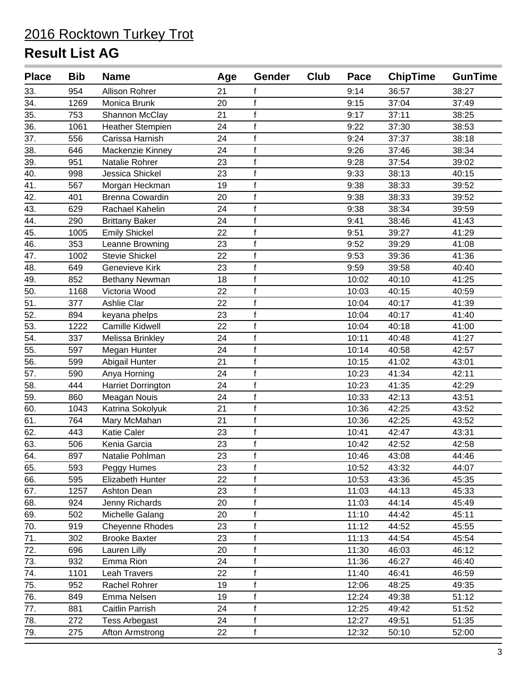| <b>Place</b> | <b>Bib</b> | <b>Name</b>               | Age | Gender       | Club | Pace  | <b>ChipTime</b> | <b>GunTime</b> |
|--------------|------------|---------------------------|-----|--------------|------|-------|-----------------|----------------|
| 33.          | 954        | <b>Allison Rohrer</b>     | 21  | f            |      | 9:14  | 36:57           | 38:27          |
| 34.          | 1269       | Monica Brunk              | 20  | f            |      | 9:15  | 37:04           | 37:49          |
| 35.          | 753        | Shannon McClay            | 21  | $\mathsf f$  |      | 9:17  | 37:11           | 38:25          |
| 36.          | 1061       | <b>Heather Stempien</b>   | 24  | $\mathsf f$  |      | 9:22  | 37:30           | 38:53          |
| 37.          | 556        | Carissa Harnish           | 24  | $\mathsf f$  |      | 9:24  | 37:37           | 38:18          |
| 38.          | 646        | Mackenzie Kinney          | 24  | f            |      | 9:26  | 37:46           | 38:34          |
| 39.          | 951        | Natalie Rohrer            | 23  | $\mathsf f$  |      | 9:28  | 37:54           | 39:02          |
| 40.          | 998        | Jessica Shickel           | 23  | $\mathsf{f}$ |      | 9:33  | 38:13           | 40:15          |
| 41.          | 567        | Morgan Heckman            | 19  | f            |      | 9:38  | 38:33           | 39:52          |
| 42.          | 401        | <b>Brenna Cowardin</b>    | 20  | $\mathsf f$  |      | 9:38  | 38:33           | 39:52          |
| 43.          | 629        | Rachael Kahelin           | 24  | $\mathsf f$  |      | 9:38  | 38:34           | 39:59          |
| 44.          | 290        | <b>Brittany Baker</b>     | 24  | $\mathsf f$  |      | 9:41  | 38:46           | 41:43          |
| 45.          | 1005       | <b>Emily Shickel</b>      | 22  | f            |      | 9:51  | 39:27           | 41:29          |
| 46.          | 353        | Leanne Browning           | 23  | $\mathsf{f}$ |      | 9:52  | 39:29           | 41:08          |
| 47.          | 1002       | <b>Stevie Shickel</b>     | 22  | f            |      | 9:53  | 39:36           | 41:36          |
| 48.          | 649        | <b>Genevieve Kirk</b>     | 23  | $\mathsf f$  |      | 9:59  | 39:58           | 40:40          |
| 49.          | 852        | Bethany Newman            | 18  | f            |      | 10:02 | 40:10           | 41:25          |
| 50.          | 1168       | Victoria Wood             | 22  | $\mathsf f$  |      | 10:03 | 40:15           | 40:59          |
| 51.          | 377        | Ashlie Clar               | 22  | $\mathsf{f}$ |      | 10:04 | 40:17           | 41:39          |
| 52.          | 894        | keyana phelps             | 23  | $\mathsf{f}$ |      | 10:04 | 40:17           | 41:40          |
| 53.          | 1222       | Camille Kidwell           | 22  | f            |      | 10:04 | 40:18           | 41:00          |
| 54.          | 337        | Melissa Brinkley          | 24  | $\mathsf f$  |      | 10:11 | 40:48           | 41:27          |
| 55.          | 597        | Megan Hunter              | 24  | $\mathsf f$  |      | 10:14 | 40:58           | 42:57          |
| 56.          | 599        | Abigail Hunter            | 21  | f            |      | 10:15 | 41:02           | 43:01          |
| 57.          | 590        | Anya Horning              | 24  | $\mathsf{f}$ |      | 10:23 | 41:34           | 42:11          |
| 58.          | 444        | <b>Harriet Dorrington</b> | 24  | $\mathsf f$  |      | 10:23 | 41:35           | 42:29          |
| 59.          | 860        | Meagan Nouis              | 24  | $\mathsf f$  |      | 10:33 | 42:13           | 43:51          |
| 60.          | 1043       | Katrina Sokolyuk          | 21  | f            |      | 10:36 | 42:25           | 43:52          |
| 61.          | 764        | Mary McMahan              | 21  | f            |      | 10:36 | 42:25           | 43:52          |
| 62.          | 443        | Katie Caler               | 23  | $\mathsf{f}$ |      | 10:41 | 42:47           | 43:31          |
| 63.          | 506        | Kenia Garcia              | 23  | $\mathsf f$  |      | 10:42 | 42:52           | 42:58          |
| 64.          | 897        | Natalie Pohlman           | 23  | f            |      | 10:46 | 43:08           | 44:46          |
| 65.          | 593        | Peggy Humes               | 23  | f            |      | 10:52 | 43:32           | 44:07          |
| 66.          | 595        | Elizabeth Hunter          | 22  | $\mathsf f$  |      | 10:53 | 43:36           | 45:35          |
| 67.          | 1257       | Ashton Dean               | 23  | f            |      | 11:03 | 44:13           | 45:33          |
| 68.          | 924        | Jenny Richards            | 20  | $\mathbf{f}$ |      | 11:03 | 44:14           | 45:49          |
| 69.          | 502        | Michelle Galang           | 20  | $\mathsf f$  |      | 11:10 | 44:42           | 45:11          |
| 70.          | 919        | Cheyenne Rhodes           | 23  | $\mathsf{f}$ |      | 11:12 | 44:52           | 45:55          |
| 71.          | 302        | <b>Brooke Baxter</b>      | 23  | f            |      | 11:13 | 44:54           | 45:54          |
| 72.          | 696        | Lauren Lilly              | 20  | f            |      | 11:30 | 46:03           | 46:12          |
| 73.          | 932        | Emma Rion                 | 24  | $\mathsf f$  |      | 11:36 | 46:27           | 46:40          |
| 74.          | 1101       | Leah Travers              | 22  | f            |      | 11:40 | 46:41           | 46:59          |
| 75.          | 952        | Rachel Rohrer             | 19  | f            |      | 12:06 | 48:25           | 49:35          |
| 76.          | 849        | Emma Nelsen               | 19  | f            |      | 12:24 | 49:38           | 51:12          |
| 77.          | 881        | Caitlin Parrish           | 24  | $\mathsf f$  |      | 12:25 | 49:42           | 51:52          |
| 78.          | 272        | <b>Tess Arbegast</b>      | 24  | f            |      | 12:27 | 49:51           | 51:35          |
| 79.          | 275        | Afton Armstrong           | 22  | f            |      | 12:32 | 50:10           | 52:00          |
|              |            |                           |     |              |      |       |                 |                |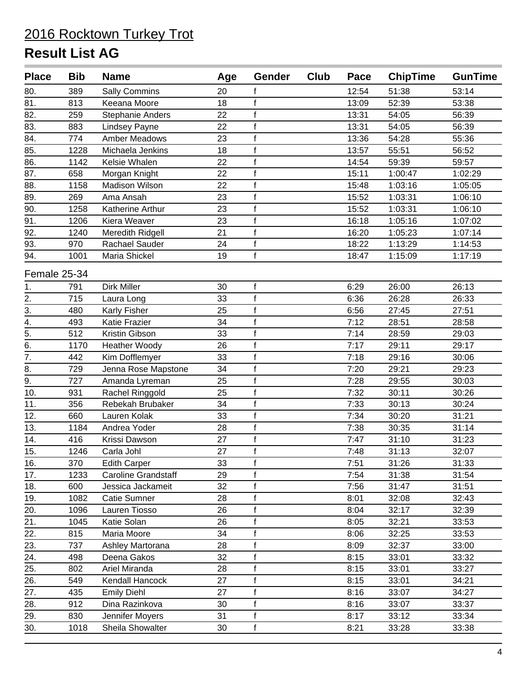| <b>Place</b>     | <b>Bib</b> | <b>Name</b>             | Age | <b>Gender</b> | Club | Pace  | <b>ChipTime</b> | <b>GunTime</b> |
|------------------|------------|-------------------------|-----|---------------|------|-------|-----------------|----------------|
| 80.              | 389        | <b>Sally Commins</b>    | 20  | t             |      | 12:54 | 51:38           | 53:14          |
| 81.              | 813        | Keeana Moore            | 18  | f             |      | 13:09 | 52:39           | 53:38          |
| 82.              | 259        | <b>Stephanie Anders</b> | 22  | $\mathsf f$   |      | 13:31 | 54:05           | 56:39          |
| 83.              | 883        | <b>Lindsey Payne</b>    | 22  | $\mathsf{f}$  |      | 13:31 | 54:05           | 56:39          |
| 84.              | 774        | Amber Meadows           | 23  | f             |      | 13:36 | 54:28           | 55:36          |
| 85.              | 1228       | Michaela Jenkins        | 18  | $\mathsf f$   |      | 13:57 | 55:51           | 56:52          |
| 86.              | 1142       | Kelsie Whalen           | 22  | $\mathsf f$   |      | 14:54 | 59:39           | 59:57          |
| 87.              | 658        | Morgan Knight           | 22  | $\mathsf f$   |      | 15:11 | 1:00:47         | 1:02:29        |
| 88.              | 1158       | Madison Wilson          | 22  | $\mathbf f$   |      | 15:48 | 1:03:16         | 1:05:05        |
| 89.              | 269        | Ama Ansah               | 23  | $\mathbf f$   |      | 15:52 | 1:03:31         | 1:06:10        |
| 90.              | 1258       | Katherine Arthur        | 23  | $\mathsf f$   |      | 15:52 | 1:03:31         | 1:06:10        |
| 91.              | 1206       | Kiera Weaver            | 23  | f             |      | 16:18 | 1:05:16         | 1:07:02        |
| 92.              | 1240       | Meredith Ridgell        | 21  | $\mathsf f$   |      | 16:20 | 1:05:23         | 1:07:14        |
| $\overline{93.}$ | 970        | <b>Rachael Sauder</b>   | 24  | f             |      | 18:22 | 1:13:29         | 1:14:53        |
| 94.              | 1001       | Maria Shickel           | 19  | $\mathbf{f}$  |      | 18:47 | 1:15:09         | 1:17:19        |
| Female 25-34     |            |                         |     |               |      |       |                 |                |
| 1.               | 791        | Dirk Miller             | 30  | $\mathsf f$   |      | 6:29  | 26:00           | 26:13          |
| 2.               | 715        | Laura Long              | 33  | $\mathsf f$   |      | 6:36  | 26:28           | 26:33          |
| 3.               | 480        | Karly Fisher            | 25  | $\mathsf{f}$  |      | 6:56  | 27:45           | 27:51          |
| 4.               | 493        | <b>Katie Frazier</b>    | 34  | f             |      | 7:12  | 28:51           | 28:58          |
| $\overline{5}$ . | 512        | Kristin Gibson          | 33  | $\mathsf f$   |      | 7:14  | 28:59           | 29:03          |
| 6.               | 1170       | <b>Heather Woody</b>    | 26  | $\mathbf f$   |      | 7:17  | 29:11           | 29:17          |
| $\overline{7}$ . | 442        | Kim Dofflemyer          | 33  | $\mathsf f$   |      | 7:18  | 29:16           | 30:06          |
| 8.               | 729        | Jenna Rose Mapstone     | 34  | $\mathsf f$   |      | 7:20  | 29:21           | 29:23          |
| 9.               | 727        | Amanda Lyreman          | 25  | f             |      | 7:28  | 29:55           | 30:03          |
| 10.              | 931        | Rachel Ringgold         | 25  | $\mathbf f$   |      | 7:32  | 30:11           | 30:26          |
| 11.              | 356        | Rebekah Brubaker        | 34  | $\mathsf f$   |      | 7:33  | 30:13           | 30:24          |
| 12.              | 660        | Lauren Kolak            | 33  | $\mathsf{f}$  |      | 7:34  | 30:20           | 31:21          |
| 13.              | 1184       | Andrea Yoder            | 28  | f             |      | 7:38  | 30:35           | 31:14          |
| 14.              | 416        | Krissi Dawson           | 27  | $\mathsf f$   |      | 7:47  | 31:10           | 31:23          |
| 15.              | 1246       | Carla Johl              | 27  | $\mathsf f$   |      | 7:48  | 31:13           | 32:07          |
| 16.              | 370        | <b>Edith Carper</b>     | 33  | f             |      | 7:51  | 31:26           | 31:33          |
| 17.              | 1233       | Caroline Grandstaff     | 29  | f             |      | 7:54  | 31:38           | 31:54          |
| 18.              | 600        | Jessica Jackameit       | 32  | $\mathsf f$   |      | 7:56  | 31:47           | 31:51          |
| 19.              | 1082       | Catie Sumner            | 28  | $\mathsf f$   |      | 8:01  | 32:08           | 32:43          |
| 20.              | 1096       | Lauren Tiosso           | 26  | f             |      | 8:04  | 32:17           | 32:39          |
| 21.              | 1045       | Katie Solan             | 26  | $\mathsf f$   |      | 8:05  | 32:21           | 33:53          |
| 22.              | 815        | Maria Moore             | 34  | $\mathsf f$   |      | 8:06  | 32:25           | 33:53          |
| 23.              | 737        | Ashley Martorana        | 28  | $\mathsf f$   |      | 8:09  | 32:37           | 33:00          |
| 24.              | 498        | Deena Gakos             | 32  | f             |      | 8:15  | 33:01           | 33:32          |
| 25.              | 802        | Ariel Miranda           | 28  | f             |      | 8:15  | 33:01           | 33:27          |
| 26.              | 549        | Kendall Hancock         | 27  | $\mathsf f$   |      | 8:15  | 33:01           | 34:21          |
| 27.              | 435        | <b>Emily Diehl</b>      | 27  | $\mathsf f$   |      | 8:16  | 33:07           | 34:27          |
| 28.              | 912        | Dina Razinkova          | 30  | f             |      | 8:16  | 33:07           | 33:37          |
| 29.              | 830        | Jennifer Moyers         | 31  | $\mathsf f$   |      | 8:17  | 33:12           | 33:34          |
| 30.              | 1018       | Sheila Showalter        | 30  | f             |      | 8:21  | 33:28           | 33:38          |
|                  |            |                         |     |               |      |       |                 |                |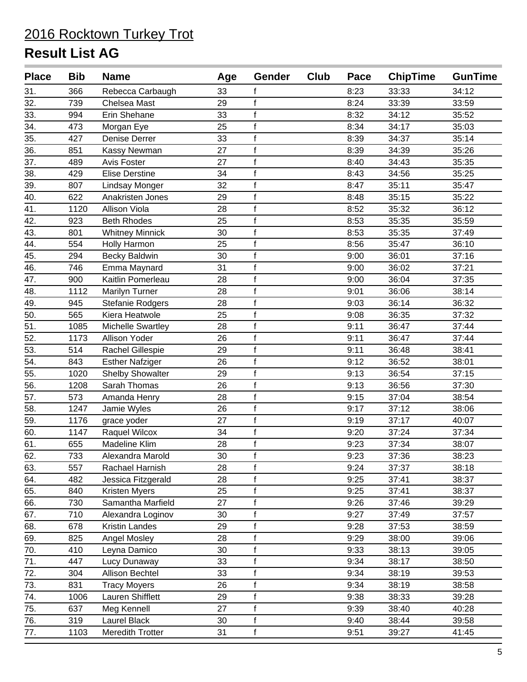| <b>Place</b> | <b>Bib</b> | <b>Name</b>             | Age | Gender       | Club | Pace | <b>ChipTime</b> | <b>GunTime</b> |
|--------------|------------|-------------------------|-----|--------------|------|------|-----------------|----------------|
| 31.          | 366        | Rebecca Carbaugh        | 33  |              |      | 8:23 | 33:33           | 34:12          |
| 32.          | 739        | Chelsea Mast            | 29  | $\mathsf f$  |      | 8:24 | 33:39           | 33:59          |
| 33.          | 994        | Erin Shehane            | 33  | $\mathsf f$  |      | 8:32 | 34:12           | 35:52          |
| 34.          | 473        | Morgan Eye              | 25  | $\mathsf f$  |      | 8:34 | 34:17           | 35:03          |
| 35.          | 427        | Denise Derrer           | 33  | $\mathbf{f}$ |      | 8:39 | 34:37           | 35:14          |
| 36.          | 851        | Kassy Newman            | 27  | f            |      | 8:39 | 34:39           | 35:26          |
| 37.          | 489        | Avis Foster             | 27  | f            |      | 8:40 | 34:43           | 35:35          |
| 38.          | 429        | <b>Elise Derstine</b>   | 34  | $\mathbf{f}$ |      | 8:43 | 34:56           | 35:25          |
| 39.          | 807        | <b>Lindsay Monger</b>   | 32  | $\mathsf f$  |      | 8:47 | 35:11           | 35:47          |
| 40.          | 622        | Anakristen Jones        | 29  | f            |      | 8:48 | 35:15           | 35:22          |
| 41.          | 1120       | <b>Allison Viola</b>    | 28  | $\mathsf{f}$ |      | 8:52 | 35:32           | 36:12          |
| 42.          | 923        | <b>Beth Rhodes</b>      | 25  | $\mathsf{f}$ |      | 8:53 | 35:35           | 35:59          |
| 43.          | 801        | <b>Whitney Minnick</b>  | 30  | $\mathsf f$  |      | 8:53 | 35:35           | 37:49          |
| 44.          | 554        | Holly Harmon            | 25  | $\mathsf f$  |      | 8:56 | 35:47           | 36:10          |
| 45.          | 294        | <b>Becky Baldwin</b>    | 30  | $\mathsf f$  |      | 9:00 | 36:01           | 37:16          |
| 46.          | 746        | Emma Maynard            | 31  | $\mathbf{f}$ |      | 9:00 | 36:02           | 37:21          |
| 47.          | 900        | Kaitlin Pomerleau       | 28  | f            |      | 9:00 | 36:04           | 37:35          |
| 48.          | 1112       | Marilyn Turner          | 28  | $\mathbf{f}$ |      | 9:01 | 36:06           | 38:14          |
| 49.          | 945        | Stefanie Rodgers        | 28  | $\mathbf{f}$ |      | 9:03 | 36:14           | 36:32          |
| 50.          | 565        | Kiera Heatwole          | 25  | $\mathsf f$  |      | 9:08 | 36:35           | 37:32          |
| 51.          | 1085       | Michelle Swartley       | 28  | f            |      | 9:11 | 36:47           | 37:44          |
| 52.          | 1173       | Allison Yoder           | 26  | $\mathsf f$  |      | 9:11 | 36:47           | 37:44          |
| 53.          | 514        | Rachel Gillespie        | 29  | $\mathsf f$  |      | 9:11 | 36:48           | 38:41          |
| 54.          | 843        | <b>Esther Nafziger</b>  | 26  | $\mathsf f$  |      | 9:12 | 36:52           | 38:01          |
| 55.          | 1020       | <b>Shelby Showalter</b> | 29  | $\mathbf{f}$ |      | 9:13 | 36:54           | 37:15          |
| 56.          | 1208       | Sarah Thomas            | 26  | $\mathbf{f}$ |      | 9:13 | 36:56           | 37:30          |
| 57.          | 573        | Amanda Henry            | 28  | $\mathbf{f}$ |      | 9:15 | 37:04           | 38:54          |
| 58.          | 1247       | Jamie Wyles             | 26  | f            |      | 9:17 | 37:12           | 38:06          |
| 59.          | 1176       | grace yoder             | 27  | $\mathsf f$  |      | 9:19 | 37:17           | 40:07          |
| 60.          | 1147       | Raquel Wilcox           | 34  | $\mathbf{f}$ |      | 9:20 | 37:24           | 37:34          |
| 61.          | 655        | Madeline Klim           | 28  | $\mathsf{f}$ |      | 9:23 | 37:34           | 38:07          |
| 62.          | 733        | Alexandra Marold        | 30  | f            |      | 9:23 | 37:36           | 38:23          |
| 63.          | 557        | Rachael Harnish         | 28  | f            |      | 9:24 | 37:37           | 38:18          |
| 64.          | 482        | Jessica Fitzgerald      | 28  | $\mathsf f$  |      | 9:25 | 37:41           | 38:37          |
| 65.          | 840        | Kristen Myers           | 25  | f            |      | 9:25 | 37:41           | 38:37          |
| 66.          | 730        | Samantha Marfield       | 27  | f            |      | 9:26 | 37:46           | 39:29          |
| 67.          | 710        | Alexandra Loginov       | 30  | $\mathbf{f}$ |      | 9:27 | 37:49           | 37:57          |
| 68.          | 678        | Kristin Landes          | 29  | $\mathsf f$  |      | 9:28 | 37:53           | 38:59          |
| 69.          | 825        | Angel Mosley            | 28  | f            |      | 9:29 | 38:00           | 39:06          |
| 70.          | 410        | Leyna Damico            | 30  | $\mathbf{f}$ |      | 9:33 | 38:13           | 39:05          |
| 71.          | 447        | Lucy Dunaway            | 33  | $\mathsf f$  |      | 9:34 | 38:17           | 38:50          |
| 72.          | 304        | Allison Bechtel         | 33  | $\mathsf f$  |      | 9:34 | 38:19           | 39:53          |
| 73.          | 831        | <b>Tracy Moyers</b>     | 26  | $\mathsf f$  |      | 9:34 | 38:19           | 38:58          |
| 74.          | 1006       | Lauren Shifflett        | 29  | $\mathsf f$  |      | 9:38 | 38:33           | 39:28          |
| 75.          | 637        | Meg Kennell             | 27  | $\mathsf f$  |      | 9:39 | 38:40           | 40:28          |
| 76.          | 319        | Laurel Black            | 30  | $\mathsf f$  |      | 9:40 | 38:44           | 39:58          |
| 77.          | 1103       | Meredith Trotter        | 31  | f            |      | 9:51 | 39:27           | 41:45          |
|              |            |                         |     |              |      |      |                 |                |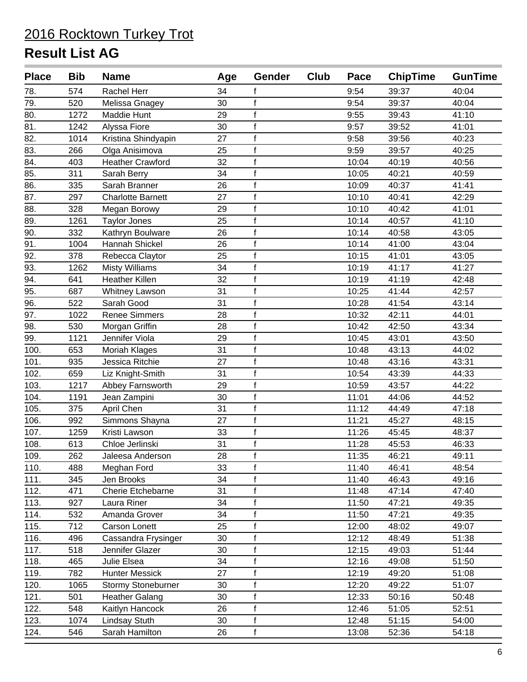| <b>Place</b>      | <b>Bib</b> | <b>Name</b>              | Age | Gender       | Club | Pace  | <b>ChipTime</b> | <b>GunTime</b> |
|-------------------|------------|--------------------------|-----|--------------|------|-------|-----------------|----------------|
| 78.               | 574        | <b>Rachel Herr</b>       | 34  | f            |      | 9:54  | 39:37           | 40:04          |
| 79.               | 520        | Melissa Gnagey           | 30  | $\mathsf f$  |      | 9:54  | 39:37           | 40:04          |
| 80.               | 1272       | Maddie Hunt              | 29  | $\mathbf{f}$ |      | 9:55  | 39:43           | 41:10          |
| 81.               | 1242       | Alyssa Fiore             | 30  | $\mathsf f$  |      | 9:57  | 39:52           | 41:01          |
| 82.               | 1014       | Kristina Shindyapin      | 27  | $\mathbf{f}$ |      | 9:58  | 39:56           | 40:23          |
| 83.               | 266        | Olga Anisimova           | 25  | $\mathbf{f}$ |      | 9:59  | 39:57           | 40:25          |
| 84.               | 403        | <b>Heather Crawford</b>  | 32  | $\mathbf{f}$ |      | 10:04 | 40:19           | 40:56          |
| 85.               | 311        | Sarah Berry              | 34  | $\mathbf{f}$ |      | 10:05 | 40:21           | 40:59          |
| $\overline{86}$ . | 335        | Sarah Branner            | 26  | $\mathsf f$  |      | 10:09 | 40:37           | 41:41          |
| 87.               | 297        | <b>Charlotte Barnett</b> | 27  | $\mathbf{f}$ |      | 10:10 | 40:41           | 42:29          |
| 88.               | 328        | Megan Borowy             | 29  | $\mathsf{f}$ |      | 10:10 | 40:42           | 41:01          |
| 89.               | 1261       | <b>Taylor Jones</b>      | 25  | $\mathsf{f}$ |      | 10:14 | 40:57           | 41:10          |
| 90.               | 332        | Kathryn Boulware         | 26  | $\mathsf f$  |      | 10:14 | 40:58           | 43:05          |
| 91.               | 1004       | Hannah Shickel           | 26  | $\mathsf f$  |      | 10:14 | 41:00           | 43:04          |
| 92.               | 378        | Rebecca Claytor          | 25  | $\mathsf f$  |      | 10:15 | 41:01           | 43:05          |
| 93.               | 1262       | <b>Misty Williams</b>    | 34  | $\mathbf{f}$ |      | 10:19 | 41:17           | 41:27          |
| 94.               | 641        | Heather Killen           | 32  | $\mathbf{f}$ |      | 10:19 | 41:19           | 42:48          |
| 95.               | 687        | Whitney Lawson           | 31  | $\mathbf{f}$ |      | 10:25 | 41:44           | 42:57          |
| 96.               | 522        | Sarah Good               | 31  | $\mathbf{f}$ |      | 10:28 | 41:54           | 43:14          |
| 97.               | 1022       | <b>Renee Simmers</b>     | 28  | $\mathsf f$  |      | 10:32 | 42:11           | 44:01          |
| 98.               | 530        | Morgan Griffin           | 28  | $\mathbf{f}$ |      | 10:42 | 42:50           | 43:34          |
| 99.               | 1121       | Jennifer Viola           | 29  | $\mathsf f$  |      | 10:45 | 43:01           | 43:50          |
| 100.              | 653        | Moriah Klages            | 31  | $\mathsf f$  |      | 10:48 | 43:13           | 44:02          |
| 101.              | 935        | Jessica Ritchie          | 27  | $\mathsf f$  |      | 10:48 | 43:16           | 43:31          |
| 102.              | 659        | Liz Knight-Smith         | 31  | $\mathbf{f}$ |      | 10:54 | 43:39           | 44:33          |
| 103.              | 1217       | Abbey Farnsworth         | 29  | $\mathbf{f}$ |      | 10:59 | 43:57           | 44:22          |
| 104.              | 1191       | Jean Zampini             | 30  | $\mathbf{f}$ |      | 11:01 | 44:06           | 44:52          |
| 105.              | 375        | April Chen               | 31  | $\mathbf{f}$ |      | 11:12 | 44:49           | 47:18          |
| 106.              | 992        | Simmons Shayna           | 27  | $\mathsf{f}$ |      | 11:21 | 45:27           | 48:15          |
| 107.              | 1259       | Kristi Lawson            | 33  | $\mathbf{f}$ |      | 11:26 | 45:45           | 48:37          |
| 108.              | 613        | Chloe Jerlinski          | 31  | $\mathsf{f}$ |      | 11:28 | 45:53           | 46:33          |
| 109.              | 262        | Jaleesa Anderson         | 28  | f            |      | 11:35 | 46:21           | 49:11          |
| 110.              | 488        | Meghan Ford              | 33  | $\mathbf{f}$ |      | 11:40 | 46:41           | 48:54          |
| 111.              | 345        | Jen Brooks               | 34  | $\mathsf{f}$ |      | 11:40 | 46:43           | 49:16          |
| 112.              | 471        | Cherie Etchebarne        | 31  | $\mathsf f$  |      | 11:48 | 47:14           | 47:40          |
| 113.              | 927        | Laura Riner              | 34  | $\mathbf{f}$ |      | 11:50 | 47:21           | 49:35          |
| 114.              | 532        | Amanda Grover            | 34  | $\mathbf{f}$ |      | 11:50 | 47:21           | 49:35          |
| 115.              | 712        | Carson Lonett            | 25  | $\mathsf f$  |      | 12:00 | 48:02           | 49:07          |
| 116.              | 496        | Cassandra Frysinger      | 30  | f            |      | 12:12 | 48:49           | 51:38          |
| 117.              | 518        | Jennifer Glazer          | 30  | $\mathsf f$  |      | 12:15 | 49:03           | 51:44          |
| 118.              | 465        | Julie Elsea              | 34  | $\mathsf f$  |      | 12:16 | 49:08           | 51:50          |
| 119.              | 782        | <b>Hunter Messick</b>    | 27  | $\mathsf f$  |      | 12:19 | 49:20           | 51:08          |
| 120.              | 1065       | Stormy Stoneburner       | 30  | f            |      | 12:20 | 49:22           | 51:07          |
| 121.              | 501        | <b>Heather Galang</b>    | 30  | $\mathsf f$  |      | 12:33 | 50:16           | 50:48          |
| 122.              | 548        | Kaitlyn Hancock          | 26  | $\mathsf{f}$ |      | 12:46 | 51:05           | 52:51          |
| 123.              | 1074       | Lindsay Stuth            | 30  | $\mathsf f$  |      | 12:48 | 51:15           | 54:00          |
| 124.              | 546        | Sarah Hamilton           | 26  | f            |      | 13:08 | 52:36           | 54:18          |
|                   |            |                          |     |              |      |       |                 |                |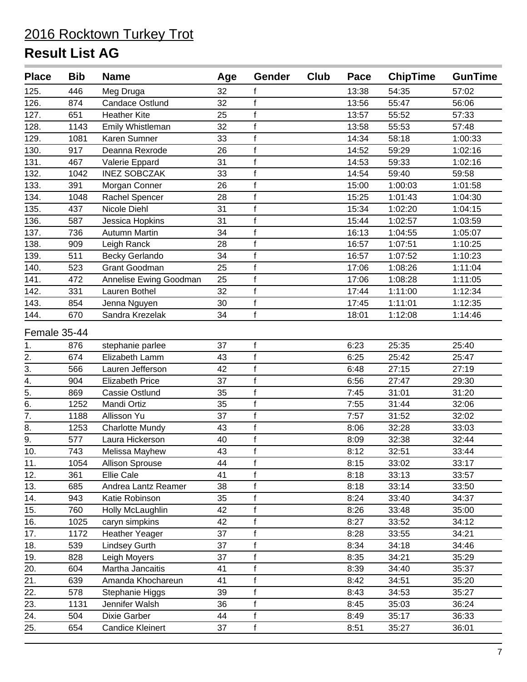| <b>Place</b>     | <b>Bib</b> | <b>Name</b>             | Age | Gender       | Club | Pace  | <b>ChipTime</b> | <b>GunTime</b> |
|------------------|------------|-------------------------|-----|--------------|------|-------|-----------------|----------------|
| 125.             | 446        | Meg Druga               | 32  |              |      | 13:38 | 54:35           | 57:02          |
| 126.             | 874        | <b>Candace Ostlund</b>  | 32  | f            |      | 13:56 | 55:47           | 56:06          |
| 127.             | 651        | <b>Heather Kite</b>     | 25  | $\mathsf f$  |      | 13:57 | 55:52           | 57:33          |
| 128.             | 1143       | Emily Whistleman        | 32  | $\mathsf f$  |      | 13:58 | 55:53           | 57:48          |
| 129.             | 1081       | Karen Sumner            | 33  | $\mathsf{f}$ |      | 14:34 | 58:18           | 1:00:33        |
| 130.             | 917        | Deanna Rexrode          | 26  | $\mathbf{f}$ |      | 14:52 | 59:29           | 1:02:16        |
| 131.             | 467        | Valerie Eppard          | 31  | $\mathsf f$  |      | 14:53 | 59:33           | 1:02:16        |
| 132.             | 1042       | <b>INEZ SOBCZAK</b>     | 33  | $\mathsf f$  |      | 14:54 | 59:40           | 59:58          |
| 133.             | 391        | Morgan Conner           | 26  | $\mathsf f$  |      | 15:00 | 1:00:03         | 1:01:58        |
| 134.             | 1048       | Rachel Spencer          | 28  | f            |      | 15:25 | 1:01:43         | 1:04:30        |
| 135.             | 437        | Nicole Diehl            | 31  | $\mathsf f$  |      | 15:34 | 1:02:20         | 1:04:15        |
| 136.             | 587        | Jessica Hopkins         | 31  | $\mathsf f$  |      | 15:44 | 1:02:57         | 1:03:59        |
| 137.             | 736        | Autumn Martin           | 34  | $\mathsf f$  |      | 16:13 | 1:04:55         | 1:05:07        |
| 138.             | 909        | Leigh Ranck             | 28  | $\mathsf{f}$ |      | 16:57 | 1:07:51         | 1:10:25        |
| 139.             | 511        | <b>Becky Gerlando</b>   | 34  | $\mathsf f$  |      | 16:57 | 1:07:52         | 1:10:23        |
| 140.             | 523        | <b>Grant Goodman</b>    | 25  | $\mathsf f$  |      | 17:06 | 1:08:26         | 1:11:04        |
| 141.             | 472        | Annelise Ewing Goodman  | 25  | $\mathsf f$  |      | 17:06 | 1:08:28         | 1:11:05        |
| 142.             | 331        | Lauren Bothel           | 32  | $\mathsf f$  |      | 17:44 | 1:11:00         | 1:12:34        |
| 143.             | 854        | Jenna Nguyen            | 30  | $\mathsf f$  |      | 17:45 | 1:11:01         | 1:12:35        |
| 144.             | 670        | Sandra Krezelak         | 34  | $\mathsf f$  |      | 18:01 | 1:12:08         | 1:14:46        |
| Female 35-44     |            |                         |     |              |      |       |                 |                |
| 1.               | 876        | stephanie parlee        | 37  | f            |      | 6:23  | 25:35           | 25:40          |
| 2.               | 674        | Elizabeth Lamm          | 43  | $\mathsf f$  |      | 6:25  | 25:42           | 25:47          |
| $\overline{3}$ . | 566        | Lauren Jefferson        | 42  | f            |      | 6:48  | 27:15           | 27:19          |
| 4.               | 904        | <b>Elizabeth Price</b>  | 37  | $\mathsf f$  |      | 6:56  | 27:47           | 29:30          |
| $\overline{5}$ . | 869        | Cassie Ostlund          | 35  | $\mathsf f$  |      | 7:45  | 31:01           | 31:20          |
| 6.               | 1252       | Mandi Ortiz             | 35  | $\mathsf f$  |      | 7:55  | 31:44           | 32:06          |
| $\overline{7}$ . | 1188       | Allisson Yu             | 37  | $\mathsf f$  |      | 7:57  | 31:52           | 32:02          |
| 8.               | 1253       | <b>Charlotte Mundy</b>  | 43  | $\mathsf{f}$ |      | 8:06  | 32:28           | 33:03          |
| 9.               | 577        | Laura Hickerson         | 40  | $\mathsf f$  |      | 8:09  | 32:38           | 32:44          |
| 10.              | 743        | Melissa Mayhew          | 43  | $\mathsf{f}$ |      | 8:12  | 32:51           | 33:44          |
| 11.              | 1054       | Allison Sprouse         | 44  | f            |      | 8:15  | 33:02           | 33:17          |
| 12.              | 361        | <b>Ellie Cale</b>       | 41  | $\mathsf f$  |      | 8:18  | 33:13           | 33:57          |
| 13.              | 685        | Andrea Lantz Reamer     | 38  | f            |      | 8:18  | 33:14           | 33:50          |
| 14.              | 943        | Katie Robinson          | 35  | f            |      | 8:24  | 33:40           | 34:37          |
| 15.              | 760        | Holly McLaughlin        | 42  | $\mathsf f$  |      | 8:26  | 33:48           | 35:00          |
| 16.              | 1025       | caryn simpkins          | 42  | f            |      | 8:27  | 33:52           | 34:12          |
| 17.              | 1172       | Heather Yeager          | 37  | $\mathbf{f}$ |      | 8:28  | 33:55           | 34:21          |
| 18.              | 539        | <b>Lindsey Gurth</b>    | 37  | $\mathbf{f}$ |      | 8:34  | 34:18           | 34:46          |
| 19.              | 828        | Leigh Moyers            | 37  | $\mathsf f$  |      | 8:35  | 34:21           | 35:29          |
| 20.              | 604        | Martha Jancaitis        | 41  | f            |      | 8:39  | 34:40           | 35:37          |
| 21.              | 639        | Amanda Khochareun       | 41  | $\mathsf f$  |      | 8:42  | 34:51           | 35:20          |
| 22.              | 578        | Stephanie Higgs         | 39  | $\mathsf f$  |      | 8:43  | 34:53           | 35:27          |
| 23.              | 1131       | Jennifer Walsh          | 36  | f            |      | 8:45  | 35:03           | 36:24          |
| 24.              | 504        | Dixie Garber            | 44  | $\mathsf f$  |      | 8:49  | 35:17           | 36:33          |
| 25.              | 654        | <b>Candice Kleinert</b> | 37  | $\mathsf f$  |      | 8:51  | 35:27           | 36:01          |
|                  |            |                         |     |              |      |       |                 |                |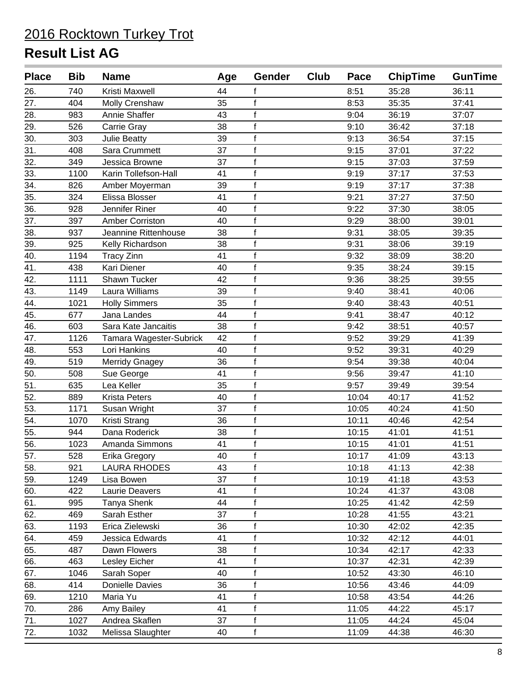| <b>Place</b> | <b>Bib</b> | <b>Name</b>             | Age | <b>Gender</b> | Club | Pace  | <b>ChipTime</b> | <b>GunTime</b> |
|--------------|------------|-------------------------|-----|---------------|------|-------|-----------------|----------------|
| 26.          | 740        | Kristi Maxwell          | 44  |               |      | 8:51  | 35:28           | 36:11          |
| 27.          | 404        | Molly Crenshaw          | 35  | $\mathbf{f}$  |      | 8:53  | 35:35           | 37:41          |
| 28.          | 983        | Annie Shaffer           | 43  | $\mathbf{f}$  |      | 9:04  | 36:19           | 37:07          |
| 29.          | 526        | Carrie Gray             | 38  | $\mathsf f$   |      | 9:10  | 36:42           | 37:18          |
| 30.          | 303        | <b>Julie Beatty</b>     | 39  | $\mathbf{f}$  |      | 9:13  | 36:54           | 37:15          |
| 31.          | 408        | Sara Crummett           | 37  | $\mathbf{f}$  |      | 9:15  | 37:01           | 37:22          |
| 32.          | 349        | Jessica Browne          | 37  | $\mathbf{f}$  |      | 9:15  | 37:03           | 37:59          |
| 33.          | 1100       | Karin Tollefson-Hall    | 41  | $\mathbf{f}$  |      | 9:19  | 37:17           | 37:53          |
| 34.          | 826        | Amber Moyerman          | 39  | $\mathsf f$   |      | 9:19  | 37:17           | 37:38          |
| 35.          | 324        | Elissa Blosser          | 41  | $\mathbf{f}$  |      | 9:21  | 37:27           | 37:50          |
| 36.          | 928        | Jennifer Riner          | 40  | $\mathsf{f}$  |      | 9:22  | 37:30           | 38:05          |
| 37.          | 397        | <b>Amber Corriston</b>  | 40  | $\mathsf{f}$  |      | 9:29  | 38:00           | 39:01          |
| 38.          | 937        | Jeannine Rittenhouse    | 38  | $\mathsf f$   |      | 9:31  | 38:05           | 39:35          |
| 39.          | 925        | Kelly Richardson        | 38  | $\mathsf f$   |      | 9:31  | 38:06           | 39:19          |
| 40.          | 1194       | <b>Tracy Zinn</b>       | 41  | $\mathsf f$   |      | 9:32  | 38:09           | 38:20          |
| 41.          | 438        | Kari Diener             | 40  | $\mathbf{f}$  |      | 9:35  | 38:24           | 39:15          |
| 42.          | 1111       | Shawn Tucker            | 42  | $\mathbf{f}$  |      | 9:36  | 38:25           | 39:55          |
| 43.          | 1149       | Laura Williams          | 39  | $\mathbf{f}$  |      | 9:40  | 38:41           | 40:06          |
| 44.          | 1021       | <b>Holly Simmers</b>    | 35  | $\mathbf{f}$  |      | 9:40  | 38:43           | 40:51          |
| 45.          | 677        | Jana Landes             | 44  | $\mathsf{f}$  |      | 9:41  | 38:47           | 40:12          |
| 46.          | 603        | Sara Kate Jancaitis     | 38  | $\mathbf{f}$  |      | 9:42  | 38:51           | 40:57          |
| 47.          | 1126       | Tamara Wagester-Subrick | 42  | $\mathsf f$   |      | 9:52  | 39:29           | 41:39          |
| 48.          | 553        | Lori Hankins            | 40  | $\mathsf f$   |      | 9:52  | 39:31           | 40:29          |
| 49.          | 519        | <b>Merridy Gnagey</b>   | 36  | $\mathsf f$   |      | 9:54  | 39:38           | 40:04          |
| 50.          | 508        | Sue George              | 41  | $\mathbf{f}$  |      | 9:56  | 39:47           | 41:10          |
| 51.          | 635        | Lea Keller              | 35  | $\mathbf{f}$  |      | 9:57  | 39:49           | 39:54          |
| 52.          | 889        | Krista Peters           | 40  | $\mathbf{f}$  |      | 10:04 | 40:17           | 41:52          |
| 53.          | 1171       | Susan Wright            | 37  | $\mathbf{f}$  |      | 10:05 | 40:24           | 41:50          |
| 54.          | 1070       | Kristi Strang           | 36  | $\mathsf{f}$  |      | 10:11 | 40:46           | 42:54          |
| 55.          | 944        | Dana Roderick           | 38  | $\mathbf{f}$  |      | 10:15 | 41:01           | 41:51          |
| 56.          | 1023       | Amanda Simmons          | 41  | $\mathsf{f}$  |      | 10:15 | 41:01           | 41:51          |
| 57.          | 528        | Erika Gregory           | 40  | f             |      | 10:17 | 41:09           | 43:13          |
| 58.          | 921        | <b>LAURA RHODES</b>     | 43  | f             |      | 10:18 | 41:13           | 42:38          |
| 59.          | 1249       | Lisa Bowen              | 37  | $\mathsf f$   |      | 10:19 | 41:18           | 43:53          |
| 60.          | 422        | Laurie Deavers          | 41  | f             |      | 10:24 | 41:37           | 43:08          |
| 61.          | 995        | Tanya Shenk             | 44  | f             |      | 10:25 | 41:42           | 42:59          |
| 62.          | 469        | Sarah Esther            | 37  | $\mathbf{f}$  |      | 10:28 | 41:55           | 43:21          |
| 63.          | 1193       | Erica Zielewski         | 36  | $\mathsf f$   |      | 10:30 | 42:02           | 42:35          |
| 64.          | 459        | Jessica Edwards         | 41  | f             |      | 10:32 | 42:12           | 44:01          |
| 65.          | 487        | Dawn Flowers            | 38  | f             |      | 10:34 | 42:17           | 42:33          |
| 66.          | 463        | Lesley Eicher           | 41  | $\mathsf f$   |      | 10:37 | 42:31           | 42:39          |
| 67.          | 1046       | Sarah Soper             | 40  | $\mathsf f$   |      | 10:52 | 43:30           | 46:10          |
| 68.          | 414        | Donielle Davies         | 36  | $\mathsf f$   |      | 10:56 | 43:46           | 44:09          |
| 69.          | 1210       | Maria Yu                | 41  | $\mathsf f$   |      | 10:58 | 43:54           | 44:26          |
| 70.          | 286        | Amy Bailey              | 41  | $\mathsf f$   |      | 11:05 | 44:22           | 45:17          |
| 71.          | 1027       | Andrea Skaflen          | 37  | $\mathsf f$   |      | 11:05 | 44:24           | 45:04          |
| 72.          | 1032       | Melissa Slaughter       | 40  | f             |      | 11:09 | 44:38           | 46:30          |
|              |            |                         |     |               |      |       |                 |                |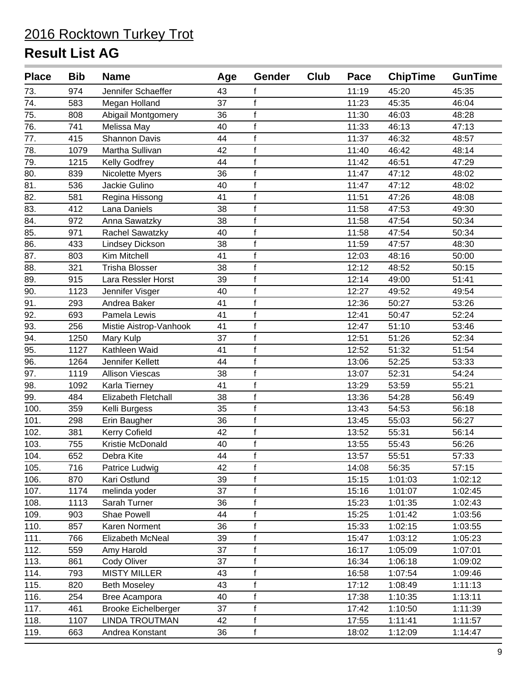| <b>Place</b> | <b>Bib</b> | <b>Name</b>                | Age | <b>Gender</b> | Club | Pace  | <b>ChipTime</b> | <b>GunTime</b> |
|--------------|------------|----------------------------|-----|---------------|------|-------|-----------------|----------------|
| 73.          | 974        | Jennifer Schaeffer         | 43  |               |      | 11:19 | 45:20           | 45:35          |
| 74.          | 583        | Megan Holland              | 37  | f             |      | 11:23 | 45:35           | 46:04          |
| 75.          | 808        | Abigail Montgomery         | 36  | $\mathbf{f}$  |      | 11:30 | 46:03           | 48:28          |
| 76.          | 741        | Melissa May                | 40  | $\mathbf{f}$  |      | 11:33 | 46:13           | 47:13          |
| 77.          | 415        | <b>Shannon Davis</b>       | 44  | $\mathsf f$   |      | 11:37 | 46:32           | 48:57          |
| 78.          | 1079       | Martha Sullivan            | 42  | f             |      | 11:40 | 46:42           | 48:14          |
| 79.          | 1215       | Kelly Godfrey              | 44  | $\mathbf{f}$  |      | 11:42 | 46:51           | 47:29          |
| 80.          | 839        | Nicolette Myers            | 36  | $\mathsf f$   |      | 11:47 | 47:12           | 48:02          |
| 81.          | 536        | Jackie Gulino              | 40  | $\mathsf f$   |      | 11:47 | 47:12           | 48:02          |
| 82.          | 581        | Regina Hissong             | 41  | $\mathbf{f}$  |      | 11:51 | 47:26           | 48:08          |
| 83.          | 412        | Lana Daniels               | 38  | $\mathbf{f}$  |      | 11:58 | 47:53           | 49:30          |
| 84.          | 972        | Anna Sawatzky              | 38  | $\mathbf{f}$  |      | 11:58 | 47:54           | 50:34          |
| 85.          | 971        | Rachel Sawatzky            | 40  | f             |      | 11:58 | 47:54           | 50:34          |
| 86.          | 433        | <b>Lindsey Dickson</b>     | 38  | $\mathsf{f}$  |      | 11:59 | 47:57           | 48:30          |
| 87.          | 803        | Kim Mitchell               | 41  | f             |      | 12:03 | 48:16           | 50:00          |
| 88.          | 321        | <b>Trisha Blosser</b>      | 38  | $\mathsf{f}$  |      | 12:12 | 48:52           | 50:15          |
| 89.          | 915        | Lara Ressler Horst         | 39  | $\mathbf{f}$  |      | 12:14 | 49:00           | 51:41          |
| 90.          | 1123       | Jennifer Visger            | 40  | $\mathsf f$   |      | 12:27 | 49:52           | 49:54          |
| 91.          | 293        | Andrea Baker               | 41  | $\mathbf{f}$  |      | 12:36 | 50:27           | 53:26          |
| 92.          | 693        | Pamela Lewis               | 41  | $\mathsf f$   |      | 12:41 | 50:47           | 52:24          |
| 93.          | 256        | Mistie Aistrop-Vanhook     | 41  | $\mathbf{f}$  |      | 12:47 | 51:10           | 53:46          |
| 94.          | 1250       | Mary Kulp                  | 37  | $\mathbf{f}$  |      | 12:51 | 51:26           | 52:34          |
| 95.          | 1127       | Kathleen Waid              | 41  | $\mathsf{f}$  |      | 12:52 | 51:32           | 51:54          |
| 96.          | 1264       | Jennifer Kellett           | 44  | $\mathbf{f}$  |      | 13:06 | 52:25           | 53:33          |
| 97.          | 1119       | <b>Allison Viescas</b>     | 38  | $\mathbf{f}$  |      | 13:07 | 52:31           | 54:24          |
| 98.          | 1092       | Karla Tierney              | 41  | $\mathsf{f}$  |      | 13:29 | 53:59           | 55:21          |
| 99.          | 484        | <b>Elizabeth Fletchall</b> | 38  | $\mathsf{f}$  |      | 13:36 | 54:28           | 56:49          |
| 100.         | 359        | Kelli Burgess              | 35  | $\mathbf{f}$  |      | 13:43 | 54:53           | 56:18          |
| 101.         | 298        | Erin Baugher               | 36  | $\mathsf f$   |      | 13:45 | 55:03           | 56:27          |
| 102.         | 381        | <b>Kerry Cofield</b>       | 42  | $\mathbf{f}$  |      | 13:52 | 55:31           | 56:14          |
| 103.         | 755        | Kristie McDonald           | 40  | $\mathbf{f}$  |      | 13:55 | 55:43           | 56:26          |
| 104.         | 652        | Debra Kite                 | 44  | $\mathsf f$   |      | 13:57 | 55:51           | 57:33          |
| 105.         | 716        | Patrice Ludwig             | 42  | $\mathbf{f}$  |      | 14:08 | 56:35           | 57:15          |
| 106.         | 870        | Kari Ostlund               | 39  | $\mathsf f$   |      | 15:15 | 1:01:03         | 1:02:12        |
| 107.         | 1174       | melinda yoder              | 37  | f             |      | 15:16 | 1:01:07         | 1:02:45        |
| 108.         | 1113       | Sarah Turner               | 36  | $\mathbf{f}$  |      | 15:23 | 1:01:35         | 1:02:43        |
| 109.         | 903        | Shae Powell                | 44  | $\mathsf{f}$  |      | 15:25 | 1:01:42         | 1:03:56        |
| 110.         | 857        | Karen Norment              | 36  | $\mathsf f$   |      | 15:33 | 1:02:15         | 1:03:55        |
| 111.         | 766        | Elizabeth McNeal           | 39  | $\mathsf f$   |      | 15:47 | 1:03:12         | 1:05:23        |
| 112.         | 559        | Amy Harold                 | 37  | $\mathsf f$   |      | 16:17 | 1:05:09         | 1:07:01        |
| 113.         | 861        | Cody Oliver                | 37  | f             |      | 16:34 | 1:06:18         | 1:09:02        |
| 114.         | 793        | <b>MISTY MILLER</b>        | 43  | $\mathsf f$   |      | 16:58 | 1:07:54         | 1:09:46        |
| 115.         | 820        | <b>Beth Moseley</b>        | 43  | $\mathbf{f}$  |      | 17:12 | 1:08:49         | 1:11:13        |
| 116.         | 254        | Bree Acampora              | 40  | $\mathbf{f}$  |      | 17:38 | 1:10:35         | 1:13:11        |
| 117.         | 461        | <b>Brooke Eichelberger</b> | 37  | $\mathsf f$   |      | 17:42 | 1:10:50         | 1:11:39        |
| 118.         | 1107       | <b>LINDA TROUTMAN</b>      | 42  | $\mathsf f$   |      | 17:55 | 1:11:41         | 1:11:57        |
| 119.         | 663        | Andrea Konstant            | 36  | $\mathsf f$   |      | 18:02 | 1:12:09         | 1:14:47        |
|              |            |                            |     |               |      |       |                 |                |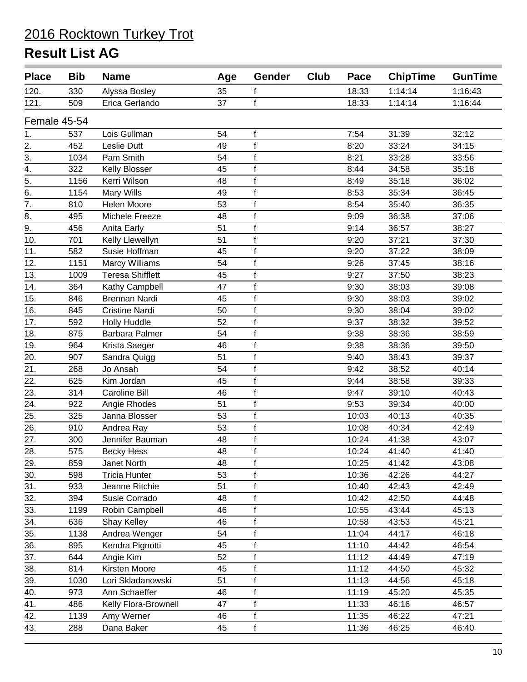| <b>Place</b>     | <b>Bib</b> | <b>Name</b>             | Age | Gender       | Club | Pace  | <b>ChipTime</b> | <b>GunTime</b> |
|------------------|------------|-------------------------|-----|--------------|------|-------|-----------------|----------------|
| 120.             | 330        | Alyssa Bosley           | 35  | f            |      | 18:33 | 1:14:14         | 1:16:43        |
| 121.             | 509        | Erica Gerlando          | 37  | $\mathsf{f}$ |      | 18:33 | 1:14:14         | 1:16:44        |
| Female 45-54     |            |                         |     |              |      |       |                 |                |
| 1.               | 537        | Lois Gullman            | 54  | f            |      | 7:54  | 31:39           | 32:12          |
| 2.               | 452        | <b>Leslie Dutt</b>      | 49  | $\mathbf f$  |      | 8:20  | 33:24           | 34:15          |
| 3.               | 1034       | Pam Smith               | 54  | $\mathsf f$  |      | 8:21  | 33:28           | 33:56          |
| 4.               | 322        | Kelly Blosser           | 45  | f            |      | 8:44  | 34:58           | 35:18          |
| $\overline{5}$ . | 1156       | Kerri Wilson            | 48  | $\mathsf f$  |      | 8:49  | 35:18           | 36:02          |
| $\overline{6}$ . | 1154       | Mary Wills              | 49  | $\mathsf f$  |      | 8:53  | 35:34           | 36:45          |
| 7.               | 810        | Helen Moore             | 53  | f            |      | 8:54  | 35:40           | 36:35          |
| 8.               | 495        | Michele Freeze          | 48  | f            |      | 9:09  | 36:38           | 37:06          |
| $\overline{9}$ . | 456        | Anita Early             | 51  | $\mathsf{f}$ |      | 9:14  | 36:57           | 38:27          |
| 10.              | 701        | Kelly Llewellyn         | 51  | $\mathbf f$  |      | 9:20  | 37:21           | 37:30          |
| 11.              | 582        | Susie Hoffman           | 45  | f            |      | 9:20  | 37:22           | 38:09          |
| 12.              | 1151       | <b>Marcy Williams</b>   | 54  | $\mathsf{f}$ |      | 9:26  | 37:45           | 38:16          |
| 13.              | 1009       | <b>Teresa Shifflett</b> | 45  | $\mathsf f$  |      | 9:27  | 37:50           | 38:23          |
| 14.              | 364        | Kathy Campbell          | 47  | $\mathsf f$  |      | 9:30  | 38:03           | 39:08          |
| 15.              | 846        | <b>Brennan Nardi</b>    | 45  | f            |      | 9:30  | 38:03           | 39:02          |
| 16.              | 845        | <b>Cristine Nardi</b>   | 50  | $\mathsf{f}$ |      | 9:30  | 38:04           | 39:02          |
| 17.              | 592        | <b>Holly Huddle</b>     | 52  | $\mathsf{f}$ |      | 9:37  | 38:32           | 39:52          |
| 18.              | 875        | <b>Barbara Palmer</b>   | 54  | f            |      | 9:38  | 38:36           | 38:59          |
| 19.              | 964        | Krista Saeger           | 46  | $\mathsf{f}$ |      | 9:38  | 38:36           | 39:50          |
| 20.              | 907        | Sandra Quigg            | 51  | $\mathsf{f}$ |      | 9:40  | 38:43           | 39:37          |
| $\overline{21}$  | 268        | Jo Ansah                | 54  | $\mathbf f$  |      | 9:42  | 38:52           | 40:14          |
| 22.              | 625        | Kim Jordan              | 45  | $\mathsf f$  |      | 9:44  | 38:58           | 39:33          |
| 23.              | 314        | <b>Caroline Bill</b>    | 46  | $\mathsf{f}$ |      | 9:47  | 39:10           | 40:43          |
| 24.              | 922        | Angie Rhodes            | 51  | $\mathsf f$  |      | 9:53  | 39:34           | 40:00          |
| 25.              | 325        | Janna Blosser           | 53  | $\mathsf f$  |      | 10:03 | 40:13           | 40:35          |
| 26.              | 910        | Andrea Ray              | 53  | f            |      | 10:08 | 40:34           | 42:49          |
| 27.              | 300        | Jennifer Bauman         | 48  | f            |      | 10:24 | 41:38           | 43:07          |
| 28.              | 575        | <b>Becky Hess</b>       | 48  | f            |      | 10:24 | 41:40           | 41:40          |
| 29.              | 859        | Janet North             | 48  | f            |      | 10:25 | 41:42           | 43:08          |
| 30.              | 598        | <b>Tricia Hunter</b>    | 53  | f            |      | 10:36 | 42:26           | 44:27          |
| 31.              | 933        | Jeanne Ritchie          | 51  | f            |      | 10:40 | 42:43           | 42:49          |
| 32.              | 394        | Susie Corrado           | 48  | $\mathsf f$  |      | 10:42 | 42:50           | 44:48          |
| 33.              | 1199       | Robin Campbell          | 46  | $\mathsf f$  |      | 10:55 | 43:44           | 45:13          |
| 34.              | 636        | Shay Kelley             | 46  | $\mathsf f$  |      | 10:58 | 43:53           | 45:21          |
| 35.              | 1138       | Andrea Wenger           | 54  | $\mathsf f$  |      | 11:04 | 44:17           | 46:18          |
| 36.              | 895        | Kendra Pignotti         | 45  | $\mathsf f$  |      | 11:10 | 44:42           | 46:54          |
| 37.              | 644        | Angie Kim               | 52  | f            |      | 11:12 | 44:49           | 47:19          |
| 38.              | 814        | Kirsten Moore           | 45  | f            |      | 11:12 | 44:50           | 45:32          |
| 39.              | 1030       | Lori Skladanowski       | 51  | $\mathsf{f}$ |      | 11:13 | 44:56           | 45:18          |
| 40.              | 973        | Ann Schaeffer           | 46  | $\mathsf f$  |      | 11:19 | 45:20           | 45:35          |
| 41.              | 486        | Kelly Flora-Brownell    | 47  | $\mathbf{f}$ |      | 11:33 | 46:16           | 46:57          |
| 42.              | 1139       | Amy Werner              | 46  | $\mathsf f$  |      | 11:35 | 46:22           | 47:21          |
| 43.              | 288        | Dana Baker              | 45  | $\mathsf f$  |      | 11:36 | 46:25           | 46:40          |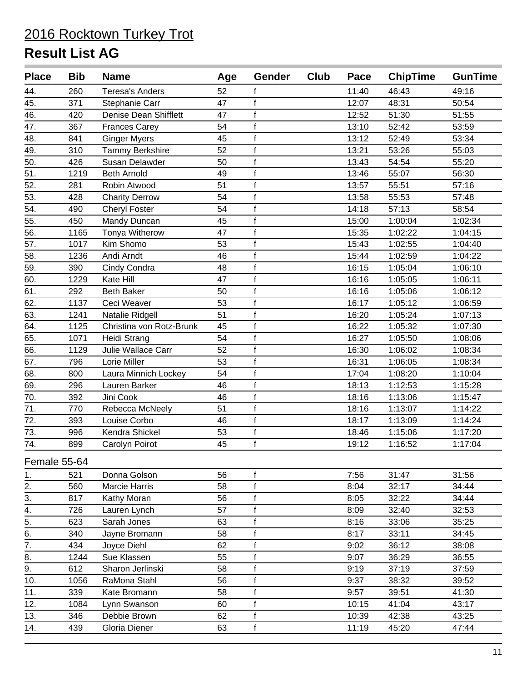| <b>Place</b>      | <b>Bib</b> | <b>Name</b>              | Age | Gender       | Club | Pace  | <b>ChipTime</b> | <b>GunTime</b> |
|-------------------|------------|--------------------------|-----|--------------|------|-------|-----------------|----------------|
| 44.               | 260        | <b>Teresa's Anders</b>   | 52  |              |      | 11:40 | 46:43           | 49:16          |
| $\overline{45}$ . | 371        | Stephanie Carr           | 47  | $\mathsf f$  |      | 12:07 | 48:31           | 50:54          |
| 46.               | 420        | Denise Dean Shifflett    | 47  | f            |      | 12:52 | 51:30           | 51:55          |
| 47.               | 367        | <b>Frances Carey</b>     | 54  | $\mathsf f$  |      | 13:10 | 52:42           | 53:59          |
| 48.               | 841        | <b>Ginger Myers</b>      | 45  | $\mathsf f$  |      | 13:12 | 52:49           | 53:34          |
| 49.               | 310        | Tammy Berkshire          | 52  | $\mathsf f$  |      | 13:21 | 53:26           | 55:03          |
| 50.               | 426        | Susan Delawder           | 50  | f            |      | 13:43 | 54:54           | 55:20          |
| 51.               | 1219       | <b>Beth Arnold</b>       | 49  | f            |      | 13:46 | 55:07           | 56:30          |
| 52.               | 281        | Robin Atwood             | 51  | f            |      | 13:57 | 55:51           | 57:16          |
| 53.               | 428        | <b>Charity Derrow</b>    | 54  | f            |      | 13:58 | 55:53           | 57:48          |
| 54.               | 490        | <b>Cheryl Foster</b>     | 54  | $\mathsf f$  |      | 14:18 | 57:13           | 58:54          |
| 55.               | 450        | Mandy Duncan             | 45  | f            |      | 15:00 | 1:00:04         | 1:02:34        |
| 56.               | 1165       | Tonya Witherow           | 47  | $\mathsf{f}$ |      | 15:35 | 1:02:22         | 1:04:15        |
| 57.               | 1017       | Kim Shomo                | 53  | f            |      | 15:43 | 1:02:55         | 1:04:40        |
| 58.               | 1236       | Andi Arndt               | 46  | $\mathsf f$  |      | 15:44 | 1:02:59         | 1:04:22        |
| 59.               | 390        | Cindy Condra             | 48  | $\mathsf f$  |      | 16:15 | 1:05:04         | 1:06:10        |
| 60.               | 1229       | Kate Hill                | 47  | f            |      | 16:16 | 1:05:05         | 1:06:11        |
| 61.               | 292        | <b>Beth Baker</b>        | 50  | f            |      | 16:16 | 1:05:06         | 1:06:12        |
| 62.               | 1137       | Ceci Weaver              | 53  | $\mathsf f$  |      | 16:17 | 1:05:12         | 1:06:59        |
| 63.               | 1241       | Natalie Ridgell          | 51  | f            |      | 16:20 | 1:05:24         | 1:07:13        |
| 64.               | 1125       | Christina von Rotz-Brunk | 45  | f            |      | 16:22 | 1:05:32         | 1:07:30        |
| 65.               | 1071       | Heidi Strang             | 54  | f            |      | 16:27 | 1:05:50         | 1:08:06        |
| 66.               | 1129       | Julie Wallace Carr       | 52  | $\mathsf f$  |      | 16:30 | 1:06:02         | 1:08:34        |
| 67.               | 796        | Lorie Miller             | 53  | $\mathsf{f}$ |      | 16:31 | 1:06:05         | 1:08:34        |
| 68.               | 800        | Laura Minnich Lockey     | 54  | $\mathsf f$  |      | 17:04 | 1:08:20         | 1:10:04        |
| 69.               | 296        | Lauren Barker            | 46  | $\mathsf f$  |      | 18:13 | 1:12:53         | 1:15:28        |
| 70.               | 392        | Jini Cook                | 46  | $\mathsf f$  |      | 18:16 | 1:13:06         | 1:15:47        |
| 71.               | 770        | Rebecca McNeely          | 51  | $\mathbf f$  |      | 18:16 | 1:13:07         | 1:14:22        |
| 72.               | 393        | Louise Corbo             | 46  | f            |      | 18:17 | 1:13:09         | 1:14:24        |
| 73.               | 996        | Kendra Shickel           | 53  | $\mathsf f$  |      | 18:46 | 1:15:06         | 1:17:20        |
| 74.               | 899        | Carolyn Poirot           | 45  | $\mathbf{f}$ |      | 19:12 | 1:16:52         | 1:17:04        |
| Female 55-64      |            |                          |     |              |      |       |                 |                |
| 1.                | 521        | Donna Golson             | 56  | f            |      | 7:56  | 31:47           | 31:56          |
| 2.                | 560        | Marcie Harris            | 58  | f            |      | 8:04  | 32:17           | 34:44          |
| 3.                | 817        | Kathy Moran              | 56  | f            |      | 8:05  | 32:22           | 34:44          |
| 4.                | 726        | Lauren Lynch             | 57  | f            |      | 8:09  | 32:40           | 32:53          |
| $\overline{5}$ .  | 623        | Sarah Jones              | 63  | $\mathsf f$  |      | 8:16  | 33:06           | 35:25          |
| 6.                | 340        | Jayne Bromann            | 58  | $\mathsf f$  |      | 8:17  | 33:11           | 34:45          |
| $\overline{7}$ .  | 434        | Joyce Diehl              | 62  | $\mathsf f$  |      | 9:02  | 36:12           | 38:08          |
| 8.                | 1244       | Sue Klassen              | 55  | $\mathsf f$  |      | 9:07  | 36:29           | 36:55          |
| 9.                | 612        | Sharon Jerlinski         | 58  | $\mathsf f$  |      | 9:19  | 37:19           | 37:59          |
| 10.               | 1056       | RaMona Stahl             | 56  | f            |      | 9:37  | 38:32           | 39:52          |
| 11.               | 339        | Kate Bromann             | 58  | f            |      | 9:57  | 39:51           | 41:30          |
| 12.               | 1084       | Lynn Swanson             | 60  | $\mathsf f$  |      | 10:15 | 41:04           | 43:17          |
| 13.               | 346        | Debbie Brown             | 62  | f            |      | 10:39 | 42:38           | 43:25          |
| 14.               | 439        | Gloria Diener            | 63  | $\mathsf f$  |      | 11:19 | 45:20           | 47:44          |
|                   |            |                          |     |              |      |       |                 |                |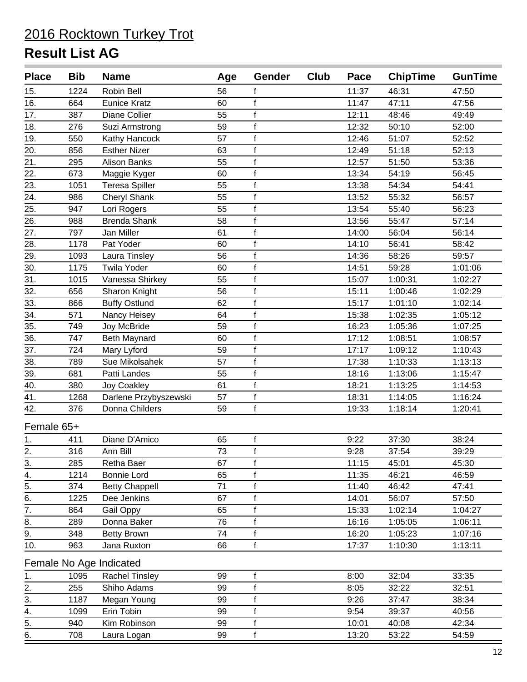| <b>Place</b>                   | <b>Bib</b> | <b>Name</b>             | Age | Gender       | Club | Pace  | <b>ChipTime</b> | <b>GunTime</b> |
|--------------------------------|------------|-------------------------|-----|--------------|------|-------|-----------------|----------------|
| 15.                            | 1224       | Robin Bell              | 56  | f            |      | 11:37 | 46:31           | 47:50          |
| 16.                            | 664        | <b>Eunice Kratz</b>     | 60  | $\mathsf{f}$ |      | 11:47 | 47:11           | 47:56          |
| 17.                            | 387        | Diane Collier           | 55  | $\mathsf f$  |      | 12:11 | 48:46           | 49:49          |
| 18.                            | 276        | Suzi Armstrong          | 59  | $\mathsf f$  |      | 12:32 | 50:10           | 52:00          |
| 19.                            | 550        | Kathy Hancock           | 57  | $\mathsf{f}$ |      | 12:46 | 51:07           | 52:52          |
| 20.                            | 856        | <b>Esther Nizer</b>     | 63  | $\mathsf{f}$ |      | 12:49 | 51:18           | 52:13          |
| 21.                            | 295        | <b>Alison Banks</b>     | 55  | $\mathsf f$  |      | 12:57 | 51:50           | 53:36          |
| 22.                            | 673        | Maggie Kyger            | 60  | $\mathsf f$  |      | 13:34 | 54:19           | 56:45          |
| $\overline{23}$ .              | 1051       | <b>Teresa Spiller</b>   | 55  | $\mathsf{f}$ |      | 13:38 | 54:34           | 54:41          |
| 24.                            | 986        | Cheryl Shank            | 55  | $\mathbf{f}$ |      | 13:52 | 55:32           | 56:57          |
| 25.                            | 947        | Lori Rogers             | 55  | $\mathsf f$  |      | 13:54 | 55:40           | 56:23          |
| 26.                            | 988        | <b>Brenda Shank</b>     | 58  | $\mathsf f$  |      | 13:56 | 55:47           | 57:14          |
| 27.                            | 797        | Jan Miller              | 61  | $\mathsf{f}$ |      | 14:00 | 56:04           | 56:14          |
| 28.                            | 1178       | Pat Yoder               | 60  | $\mathsf{f}$ |      | 14:10 | 56:41           | 58:42          |
| 29.                            | 1093       | Laura Tinsley           | 56  | $\mathsf f$  |      | 14:36 | 58:26           | 59:57          |
| 30.                            | 1175       | <b>Twila Yoder</b>      | 60  | $\mathsf{f}$ |      | 14:51 | 59:28           | 1:01:06        |
| 31.                            | 1015       | Vanessa Shirkey         | 55  | f            |      | 15:07 | 1:00:31         | 1:02:27        |
| 32.                            | 656        | Sharon Knight           | 56  | $\mathsf f$  |      | 15:11 | 1:00:46         | 1:02:29        |
| 33.                            | 866        | <b>Buffy Ostlund</b>    | 62  | $\mathsf f$  |      | 15:17 | 1:01:10         | 1:02:14        |
| 34.                            | 571        | Nancy Heisey            | 64  | $\mathsf{f}$ |      | 15:38 | 1:02:35         | 1:05:12        |
| 35.                            | 749        | Joy McBride             | 59  | $\mathsf f$  |      | 16:23 | 1:05:36         | 1:07:25        |
| 36.                            | 747        | <b>Beth Maynard</b>     | 60  | $\mathsf f$  |      | 17:12 | 1:08:51         | 1:08:57        |
| 37.                            | 724        | Mary Lyford             | 59  | $\mathsf f$  |      | 17:17 | 1:09:12         | 1:10:43        |
| 38.                            | 789        | Sue Mikolsahek          | 57  | $\mathsf{f}$ |      | 17:38 | 1:10:33         | 1:13:13        |
| 39.                            | 681        | Patti Landes            | 55  | $\mathsf f$  |      | 18:16 | 1:13:06         | 1:15:47        |
| 40.                            | 380        | <b>Joy Coakley</b>      | 61  | $\mathsf f$  |      | 18:21 | 1:13:25         | 1:14:53        |
| 41.                            | 1268       | Darlene Przybyszewski   | 57  | $\mathsf{f}$ |      | 18:31 | 1:14:05         | 1:16:24        |
| 42.                            | 376        | Donna Childers          | 59  | $\mathsf f$  |      | 19:33 | 1:18:14         | 1:20:41        |
| Female 65+                     |            |                         |     |              |      |       |                 |                |
| 1.                             | 411        | Diane D'Amico           | 65  | f            |      | 9:22  | 37:30           | 38:24          |
| 2.                             | 316        | Ann Bill                | 73  | $\mathsf{f}$ |      | 9:28  | 37:54           | 39:29          |
|                                | 285        | Retha Baer              | 67  | f            |      | 11:15 | 45:01           | 45:30          |
| $rac{3}{4}$ .<br>$rac{4}{5}$ . | 1214       | <b>Bonnie Lord</b>      | 65  | f            |      | 11:35 | 46:21           | 46:59          |
|                                | 374        | <b>Betty Chappell</b>   | 71  | $\mathsf f$  |      | 11:40 | 46:42           | 47:41          |
| 6.                             | 1225       | Dee Jenkins             | 67  | $\mathsf f$  |      | 14:01 | 56:07           | 57:50          |
| $\overline{7}$ .               | 864        | Gail Oppy               | 65  | $\mathsf f$  |      | 15:33 | 1:02:14         | 1:04:27        |
| 8.                             | 289        | Donna Baker             | 76  | f            |      | 16:16 | 1:05:05         | 1:06:11        |
| 9.                             | 348        | <b>Betty Brown</b>      | 74  | $\mathsf f$  |      | 16:20 | 1:05:23         | 1:07:16        |
| 10.                            | 963        | Jana Ruxton             | 66  | $\mathsf f$  |      | 17:37 | 1:10:30         | 1:13:11        |
|                                |            | Female No Age Indicated |     |              |      |       |                 |                |
| 1.                             | 1095       | Rachel Tinsley          | 99  | $\mathsf f$  |      | 8:00  | 32:04           | 33:35          |
| 2.                             | 255        | Shiho Adams             | 99  | $\mathsf f$  |      | 8:05  | 32:22           | 32:51          |
| 3.                             | 1187       | Megan Young             | 99  | f            |      | 9:26  | 37:47           | 38:34          |
| 4.                             | 1099       | Erin Tobin              | 99  | f            |      | 9:54  | 39:37           | 40:56          |
| 5.                             | 940        | Kim Robinson            | 99  | f            |      | 10:01 | 40:08           | 42:34          |
| 6.                             | 708        | Laura Logan             | 99  | $\mathsf f$  |      | 13:20 | 53:22           | 54:59          |
|                                |            |                         |     |              |      |       |                 |                |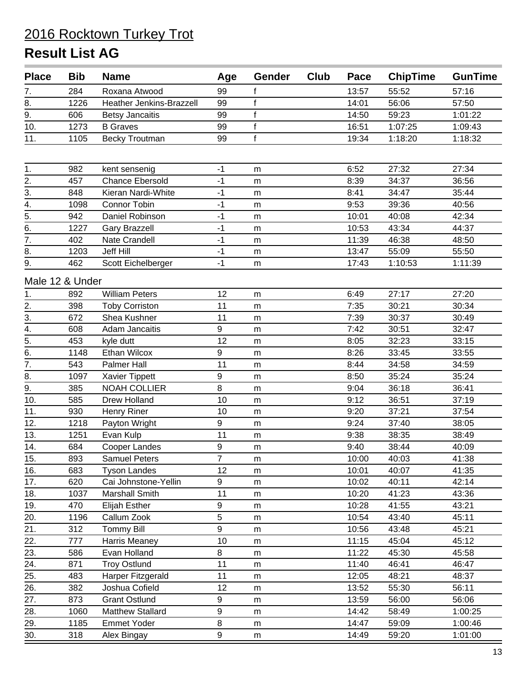| <b>Place</b>     | <b>Bib</b>      | <b>Name</b>              | Age            | <b>Gender</b> | <b>Club</b> | Pace  | <b>ChipTime</b> | <b>GunTime</b> |
|------------------|-----------------|--------------------------|----------------|---------------|-------------|-------|-----------------|----------------|
| 7.               | 284             | Roxana Atwood            | 99             | f             |             | 13:57 | 55:52           | 57:16          |
| 8.               | 1226            | Heather Jenkins-Brazzell | 99             | $\mathsf{f}$  |             | 14:01 | 56:06           | 57:50          |
| 9.               | 606             | <b>Betsy Jancaitis</b>   | 99             | $\mathbf{f}$  |             | 14:50 | 59:23           | 1:01:22        |
| 10.              | 1273            | <b>B</b> Graves          | 99             | $\mathbf f$   |             | 16:51 | 1:07:25         | 1:09:43        |
| 11.              | 1105            | <b>Becky Troutman</b>    | 99             | $\mathsf f$   |             | 19:34 | 1:18:20         | 1:18:32        |
|                  |                 |                          |                |               |             |       |                 |                |
| 1.               | 982             | kent sensenig            | $-1$           | m             |             | 6:52  | 27:32           | 27:34          |
| $\overline{2}$ . | 457             | <b>Chance Ebersold</b>   | $-1$           | m             |             | 8:39  | 34:37           | 36:56          |
| $\overline{3}$ . | 848             | Kieran Nardi-White       | $-1$           | m             |             | 8:41  | 34:47           | 35:44          |
| 4.               | 1098            | Connor Tobin             | $-1$           | m             |             | 9:53  | 39:36           | 40:56          |
| 5.               | 942             | Daniel Robinson          | $-1$           | m             |             | 10:01 | 40:08           | 42:34          |
| 6.               | 1227            | <b>Gary Brazzell</b>     | $-1$           | m             |             | 10:53 | 43:34           | 44:37          |
| $\overline{7}$ . | 402             | Nate Crandell            | $-1$           | ${\sf m}$     |             | 11:39 | 46:38           | 48:50          |
| 8.               | 1203            | <b>Jeff Hill</b>         | $-1$           | m             |             | 13:47 | 55:09           | 55:50          |
| $\overline{9}$ . | 462             | Scott Eichelberger       | $-1$           | ${\sf m}$     |             | 17:43 | 1:10:53         | 1:11:39        |
|                  | Male 12 & Under |                          |                |               |             |       |                 |                |
| 1.               | 892             | <b>William Peters</b>    | 12             | m             |             | 6:49  | 27:17           | 27:20          |
|                  | 398             | <b>Toby Corriston</b>    | 11             | m             |             | 7:35  | 30:21           | 30:34          |
| $\frac{2}{3}$ .  | 672             | Shea Kushner             | 11             | m             |             | 7:39  | 30:37           | 30:49          |
| $\overline{4}$ . | 608             | Adam Jancaitis           | 9              | m             |             | 7:42  | 30:51           | 32:47          |
| $\overline{5}$ . | 453             | kyle dutt                | 12             | m             |             | 8:05  | 32:23           | 33:15          |
| 6.               | 1148            | Ethan Wilcox             | 9              | m             |             | 8:26  | 33:45           | 33:55          |
| $\overline{7}$ . | 543             | Palmer Hall              | 11             | m             |             | 8:44  | 34:58           | 34:59          |
| 8.               | 1097            | Xavier Tippett           | 9              | m             |             | 8:50  | 35:24           | 35:24          |
| $\overline{9}$ . | 385             | <b>NOAH COLLIER</b>      | 8              | m             |             | 9:04  | 36:18           | 36:41          |
| 10.              | 585             | Drew Holland             | 10             | ${\sf m}$     |             | 9:12  | 36:51           | 37:19          |
| 11.              | 930             | Henry Riner              | 10             | m             |             | 9:20  | 37:21           | 37:54          |
| 12.              | 1218            | Payton Wright            | 9              | m             |             | 9:24  | 37:40           | 38:05          |
| 13.              | 1251            | Evan Kulp                | 11             | ${\sf m}$     |             | 9:38  | 38:35           | 38:49          |
| 14.              | 684             | Cooper Landes            | 9              | m             |             | 9:40  | 38:44           | 40:09          |
| 15.              | 893             | <b>Samuel Peters</b>     | $\overline{7}$ | m             |             | 10:00 | 40:03           | 41:38          |
| 16.              | 683             | <b>Tyson Landes</b>      | 12             | m             |             | 10:01 | 40:07           | 41:35          |
| 17.              | 620             | Cai Johnstone-Yellin     | 9              | m             |             | 10:02 | 40:11           | 42:14          |
| 18.              | 1037            | Marshall Smith           | 11             | m             |             | 10:20 | 41:23           | 43:36          |
| 19.              | 470             | <b>Elijah Esther</b>     | 9              | m             |             | 10:28 | 41:55           | 43:21          |
| 20.              | 1196            | Callum Zook              | 5              | m             |             | 10:54 | 43:40           | 45:11          |
| 21.              | 312             | <b>Tommy Bill</b>        | 9              | m             |             | 10:56 | 43:48           | 45:21          |
| 22.              | 777             | Harris Meaney            | 10             | m             |             | 11:15 | 45:04           | 45:12          |
| 23.              | 586             | Evan Holland             | 8              | ${\sf m}$     |             | 11:22 | 45:30           | 45:58          |
| 24.              | 871             | <b>Troy Ostlund</b>      | 11             | m             |             | 11:40 | 46:41           | 46:47          |
| 25.              | 483             | Harper Fitzgerald        | 11             | m             |             | 12:05 | 48:21           | 48:37          |
| 26.              | 382             | Joshua Cofield           | 12             | m             |             | 13:52 | 55:30           | 56:11          |
| 27.              | 873             | <b>Grant Ostlund</b>     | 9              | m             |             | 13:59 | 56:00           | 56:06          |
| 28.              | 1060            | Matthew Stallard         | 9              | m             |             | 14:42 | 58:49           | 1:00:25        |
| 29.              | 1185            | <b>Emmet Yoder</b>       | 8              | ${\sf m}$     |             | 14:47 | 59:09           | 1:00:46        |
| 30.              | 318             | Alex Bingay              | 9              | m             |             | 14:49 | 59:20           | 1:01:00        |
|                  |                 |                          |                |               |             |       |                 |                |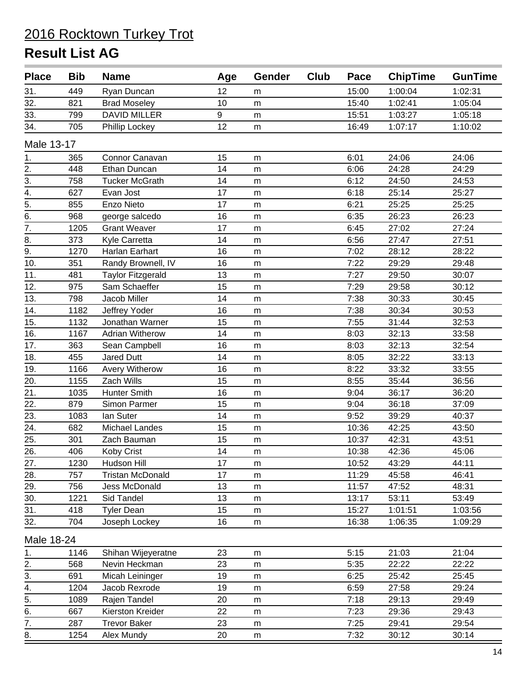| <b>Place</b>      | <b>Bib</b> | <b>Name</b>              | Age | <b>Gender</b> | Club | Pace  | <b>ChipTime</b> | <b>GunTime</b> |
|-------------------|------------|--------------------------|-----|---------------|------|-------|-----------------|----------------|
| 31.               | 449        | Ryan Duncan              | 12  | m             |      | 15:00 | 1:00:04         | 1:02:31        |
| 32.               | 821        | <b>Brad Moseley</b>      | 10  | m             |      | 15:40 | 1:02:41         | 1:05:04        |
| 33.               | 799        | <b>DAVID MILLER</b>      | 9   | m             |      | 15:51 | 1:03:27         | 1:05:18        |
| 34.               | 705        | Phillip Lockey           | 12  | m             |      | 16:49 | 1:07:17         | 1:10:02        |
| Male 13-17        |            |                          |     |               |      |       |                 |                |
| 1.                | 365        | Connor Canavan           | 15  | m             |      | 6:01  | 24:06           | 24:06          |
| 2.                | 448        | Ethan Duncan             | 14  | m             |      | 6:06  | 24:28           | 24:29          |
| $\overline{3}$ .  | 758        | <b>Tucker McGrath</b>    | 14  | m             |      | 6:12  | 24:50           | 24:53          |
| $\overline{4}$ .  | 627        | Evan Jost                | 17  | m             |      | 6:18  | 25:14           | 25:27          |
| 5.                | 855        | Enzo Nieto               | 17  | m             |      | 6:21  | 25:25           | 25:25          |
| 6.                | 968        | george salcedo           | 16  | m             |      | 6:35  | 26:23           | 26:23          |
| $\overline{7}$ .  | 1205       | <b>Grant Weaver</b>      | 17  | ${\sf m}$     |      | 6:45  | 27:02           | 27:24          |
| 8.                | 373        | Kyle Carretta            | 14  | m             |      | 6:56  | 27:47           | 27:51          |
| 9.                | 1270       | Harlan Earhart           | 16  | m             |      | 7:02  | 28:12           | 28:22          |
| 10.               | 351        | Randy Brownell, IV       | 16  | m             |      | 7:22  | 29:29           | 29:48          |
| 11.               | 481        | <b>Taylor Fitzgerald</b> | 13  | m             |      | 7:27  | 29:50           | 30:07          |
| 12.               | 975        | Sam Schaeffer            | 15  | m             |      | 7:29  | 29:58           | 30:12          |
| 13.               | 798        | Jacob Miller             | 14  | m             |      | 7:38  | 30:33           | 30:45          |
| 14.               | 1182       | Jeffrey Yoder            | 16  | m             |      | 7:38  | 30:34           | 30:53          |
| 15.               | 1132       | Jonathan Warner          | 15  | m             |      | 7:55  | 31:44           | 32:53          |
| 16.               | 1167       | <b>Adrian Witherow</b>   | 14  | m             |      | 8:03  | 32:13           | 33:58          |
| 17.               | 363        | Sean Campbell            | 16  | ${\sf m}$     |      | 8:03  | 32:13           | 32:54          |
| 18.               | 455        | Jared Dutt               | 14  | m             |      | 8:05  | 32:22           | 33:13          |
| 19.               | 1166       | Avery Witherow           | 16  | m             |      | 8:22  | 33:32           | 33:55          |
| 20.               | 1155       | Zach Wills               | 15  | m             |      | 8:55  | 35:44           | 36:56          |
| 21.               | 1035       | <b>Hunter Smith</b>      | 16  | m             |      | 9:04  | 36:17           | 36:20          |
| 22.               | 879        | Simon Parmer             | 15  | m             |      | 9:04  | 36:18           | 37:09          |
| 23.               | 1083       | lan Suter                | 14  | m             |      | 9:52  | 39:29           | 40:37          |
| 24.               | 682        | Michael Landes           | 15  | m             |      | 10:36 | 42:25           | 43:50          |
| $\overline{25}$ . | 301        | Zach Bauman              | 15  | ${\sf m}$     |      | 10:37 | 42:31           | 43:51          |
| 26.               | 406        | Koby Crist               | 14  | m             |      | 10:38 | 42:36           | 45:06          |
| 27.               | 1230       | Hudson Hill              | 17  | m             |      | 10:52 | 43:29           | 44:11          |
| 28.               | 757        | <b>Tristan McDonald</b>  | 17  | ${\sf m}$     |      | 11:29 | 45:58           | 46:41          |
| 29.               | 756        | Jess McDonald            | 13  | m             |      | 11:57 | 47:52           | 48:31          |
| 30.               | 1221       | Sid Tandel               | 13  | m             |      | 13:17 | 53:11           | 53:49          |
| 31.               | 418        | <b>Tyler Dean</b>        | 15  | m             |      | 15:27 | 1:01:51         | 1:03:56        |
| 32.               | 704        | Joseph Lockey            | 16  | ${\sf m}$     |      | 16:38 | 1:06:35         | 1:09:29        |
| Male 18-24        |            |                          |     |               |      |       |                 |                |
| 1.                | 1146       | Shihan Wijeyeratne       | 23  | m             |      | 5:15  | 21:03           | 21:04          |
| 2.                | 568        | Nevin Heckman            | 23  | m             |      | 5:35  | 22:22           | 22:22          |
| 3.                | 691        | Micah Leininger          | 19  | m             |      | 6:25  | 25:42           | 25:45          |
| $\overline{4}$ .  | 1204       | Jacob Rexrode            | 19  | m             |      | 6:59  | 27:58           | 29:24          |
| $\overline{5}$ .  | 1089       | Rajen Tandel             | 20  | m             |      | 7:18  | 29:13           | 29:49          |
| 6.                | 667        | Kierston Kreider         | 22  | m             |      | 7:23  | 29:36           | 29:43          |
| 7.                | 287        | <b>Trevor Baker</b>      | 23  | m             |      | 7:25  | 29:41           | 29:54          |
| 8.                | 1254       | Alex Mundy               | 20  | m             |      | 7:32  | 30:12           | 30:14          |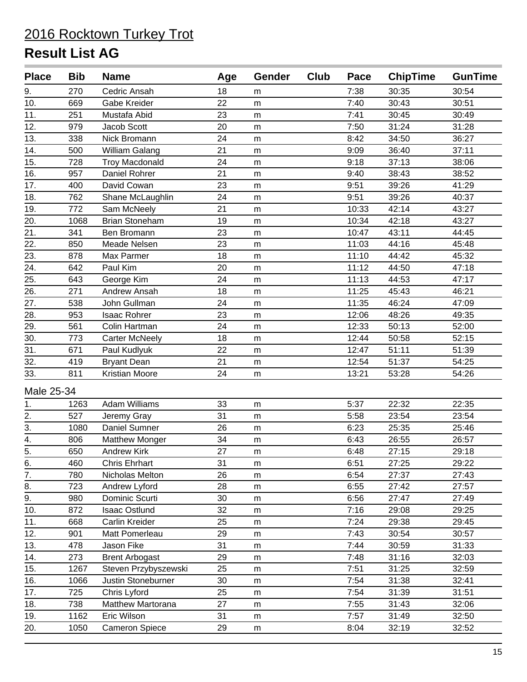| <b>Place</b>      | <b>Bib</b> | <b>Name</b>           | Age | Gender    | Club | Pace  | <b>ChipTime</b> | <b>GunTime</b> |
|-------------------|------------|-----------------------|-----|-----------|------|-------|-----------------|----------------|
| 9.                | 270        | Cedric Ansah          | 18  | m         |      | 7:38  | 30:35           | 30:54          |
| 10.               | 669        | Gabe Kreider          | 22  | ${\sf m}$ |      | 7:40  | 30:43           | 30:51          |
| 11.               | 251        | Mustafa Abid          | 23  | m         |      | 7:41  | 30:45           | 30:49          |
| 12.               | 979        | Jacob Scott           | 20  | m         |      | 7:50  | 31:24           | 31:28          |
| 13.               | 338        | Nick Bromann          | 24  | m         |      | 8:42  | 34:50           | 36:27          |
| 14.               | 500        | William Galang        | 21  | m         |      | 9:09  | 36:40           | 37:11          |
| 15.               | 728        | <b>Troy Macdonald</b> | 24  | ${\sf m}$ |      | 9:18  | 37:13           | 38:06          |
| 16.               | 957        | Daniel Rohrer         | 21  | m         |      | 9:40  | 38:43           | 38:52          |
| 17.               | 400        | David Cowan           | 23  | m         |      | 9:51  | 39:26           | 41:29          |
| 18.               | 762        | Shane McLaughlin      | 24  | ${\sf m}$ |      | 9:51  | 39:26           | 40:37          |
| 19.               | 772        | Sam McNeely           | 21  | m         |      | 10:33 | 42:14           | 43:27          |
| 20.               | 1068       | <b>Brian Stoneham</b> | 19  | ${\sf m}$ |      | 10:34 | 42:18           | 43:27          |
| 21.               | 341        | Ben Bromann           | 23  | m         |      | 10:47 | 43:11           | 44:45          |
| 22.               | 850        | Meade Nelsen          | 23  | ${\sf m}$ |      | 11:03 | 44:16           | 45:48          |
| 23.               | 878        | Max Parmer            | 18  | m         |      | 11:10 | 44:42           | 45:32          |
| $\overline{24}$ . | 642        | Paul Kim              | 20  | ${\sf m}$ |      | 11:12 | 44:50           | 47:18          |
| 25.               | 643        | George Kim            | 24  | m         |      | 11:13 | 44:53           | 47:17          |
| 26.               | 271        | Andrew Ansah          | 18  | m         |      | 11:25 | 45:43           | 46:21          |
| 27.               | 538        | John Gullman          | 24  | ${\sf m}$ |      | 11:35 | 46:24           | 47:09          |
| 28.               | 953        | <b>Isaac Rohrer</b>   | 23  | ${\sf m}$ |      | 12:06 | 48:26           | 49:35          |
| 29.               | 561        | Colin Hartman         | 24  | m         |      | 12:33 | 50:13           | 52:00          |
| 30.               | 773        | <b>Carter McNeely</b> | 18  | ${\sf m}$ |      | 12:44 | 50:58           | 52:15          |
| $\overline{31}$ . | 671        | Paul Kudlyuk          | 22  | m         |      | 12:47 | 51:11           | 51:39          |
| 32.               | 419        | <b>Bryant Dean</b>    | 21  | m         |      | 12:54 | 51:37           | 54:25          |
| 33.               | 811        | Kristian Moore        | 24  | m         |      | 13:21 | 53:28           | 54:26          |
| Male 25-34        |            |                       |     |           |      |       |                 |                |
| 1.                | 1263       | <b>Adam Williams</b>  | 33  | m         |      | 5:37  | 22:32           | 22:35          |
| 2.                | 527        | Jeremy Gray           | 31  | m         |      | 5:58  | 23:54           | 23:54          |
| $\overline{3}$ .  | 1080       | Daniel Sumner         | 26  | m         |      | 6:23  | 25:35           | 25:46          |
| 4.                | 806        | <b>Matthew Monger</b> | 34  | m         |      | 6:43  | 26:55           | 26:57          |
| 5.                | 650        | <b>Andrew Kirk</b>    | 27  | ${\sf m}$ |      | 6:48  | 27:15           | 29:18          |
|                   | 460        | <b>Chris Ehrhart</b>  | 31  | m         |      | 6:51  | 27:25           | 29:22          |
| $rac{6}{7}$       | 780        | Nicholas Melton       | 26  | m         |      | 6:54  | 27:37           | 27:43          |
| 8.                | 723        | Andrew Lyford         | 28  | m         |      | 6:55  | 27:42           | 27:57          |
| 9.                | 980        | Dominic Scurti        | 30  | m         |      | 6:56  | 27:47           | 27:49          |
| 10.               | 872        | <b>Isaac Ostlund</b>  | 32  | m         |      | 7:16  | 29:08           | 29:25          |
| 11.               | 668        | Carlin Kreider        | 25  | m         |      | 7:24  | 29:38           | 29:45          |
| 12.               | 901        | Matt Pomerleau        | 29  | m         |      | 7:43  | 30:54           | 30:57          |
| 13.               | 478        | Jason Fike            | 31  | m         |      | 7:44  | 30:59           | 31:33          |
| 14.               | 273        | <b>Brent Arbogast</b> | 29  | ${\sf m}$ |      | 7:48  | 31:16           | 32:03          |
| 15.               | 1267       | Steven Przybyszewski  | 25  | m         |      | 7:51  | 31:25           | 32:59          |
| 16.               | 1066       | Justin Stoneburner    | 30  | m         |      | 7:54  | 31:38           | 32:41          |
| 17.               | 725        | Chris Lyford          | 25  | m         |      | 7:54  | 31:39           | 31:51          |
| 18.               | 738        | Matthew Martorana     | 27  | m         |      | 7:55  | 31:43           | 32:06          |
| 19.               | 1162       | Eric Wilson           | 31  | m         |      | 7:57  | 31:49           | 32:50          |
| 20.               | 1050       | <b>Cameron Spiece</b> | 29  | m         |      | 8:04  | 32:19           | 32:52          |
|                   |            |                       |     |           |      |       |                 |                |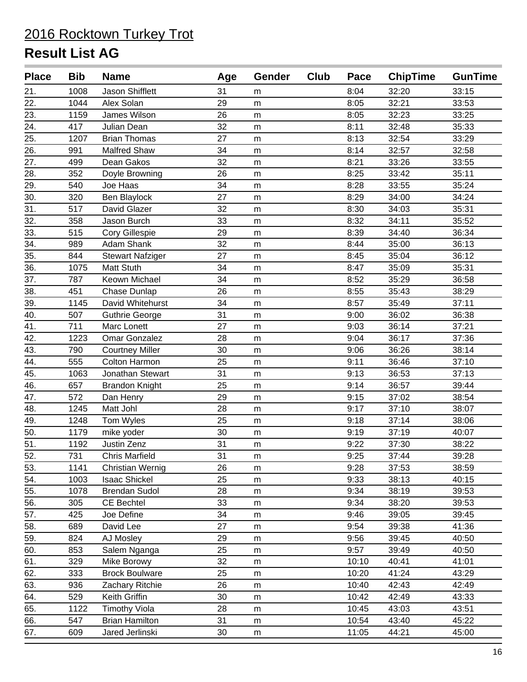| <b>Place</b>    | <b>Bib</b> | <b>Name</b>             | Age | <b>Gender</b> | Club | Pace  | <b>ChipTime</b> | <b>GunTime</b> |
|-----------------|------------|-------------------------|-----|---------------|------|-------|-----------------|----------------|
| 21.             | 1008       | Jason Shifflett         | 31  | m             |      | 8:04  | 32:20           | 33:15          |
| 22.             | 1044       | Alex Solan              | 29  | ${\sf m}$     |      | 8:05  | 32:21           | 33:53          |
| 23.             | 1159       | James Wilson            | 26  | m             |      | 8:05  | 32:23           | 33:25          |
| 24.             | 417        | Julian Dean             | 32  | m             |      | 8:11  | 32:48           | 35:33          |
| 25.             | 1207       | <b>Brian Thomas</b>     | 27  | m             |      | 8:13  | 32:54           | 33:29          |
| 26.             | 991        | Malfred Shaw            | 34  | m             |      | 8:14  | 32:57           | 32:58          |
| 27.             | 499        | Dean Gakos              | 32  | m             |      | 8:21  | 33:26           | 33:55          |
| 28.             | 352        | Doyle Browning          | 26  | m             |      | 8:25  | 33:42           | 35:11          |
| 29.             | 540        | Joe Haas                | 34  | m             |      | 8:28  | 33:55           | 35:24          |
| 30.             | 320        | Ben Blaylock            | 27  | m             |      | 8:29  | 34:00           | 34:24          |
| 31.             | 517        | David Glazer            | 32  | m             |      | 8:30  | 34:03           | 35:31          |
| 32.             | 358        | Jason Burch             | 33  | m             |      | 8:32  | 34:11           | 35:52          |
| 33.             | 515        | Cory Gillespie          | 29  | m             |      | 8:39  | 34:40           | 36:34          |
| 34.             | 989        | Adam Shank              | 32  | m             |      | 8:44  | 35:00           | 36:13          |
| 35.             | 844        | <b>Stewart Nafziger</b> | 27  | m             |      | 8:45  | 35:04           | 36:12          |
| 36.             | 1075       | Matt Stuth              | 34  | m             |      | 8:47  | 35:09           | 35:31          |
| 37.             | 787        | Keown Michael           | 34  | m             |      | 8:52  | 35:29           | 36:58          |
| 38.             | 451        | Chase Dunlap            | 26  | m             |      | 8:55  | 35:43           | 38:29          |
| 39.             | 1145       | David Whitehurst        | 34  | m             |      | 8:57  | 35:49           | 37:11          |
| 40.             | 507        | <b>Guthrie George</b>   | 31  | ${\sf m}$     |      | 9:00  | 36:02           | 36:38          |
| 41.             | 711        | Marc Lonett             | 27  | m             |      | 9:03  | 36:14           | 37:21          |
| 42.             | 1223       | Omar Gonzalez           | 28  | m             |      | 9:04  | 36:17           | 37:36          |
| 43.             | 790        | <b>Courtney Miller</b>  | 30  | m             |      | 9:06  | 36:26           | 38:14          |
| 44.             | 555        | Colton Harmon           | 25  | m             |      | 9:11  | 36:46           | 37:10          |
| 45.             | 1063       | Jonathan Stewart        | 31  | m             |      | 9:13  | 36:53           | 37:13          |
| 46.             | 657        | <b>Brandon Knight</b>   | 25  | m             |      | 9:14  | 36:57           | 39:44          |
| 47.             | 572        | Dan Henry               | 29  | m             |      | 9:15  | 37:02           | 38:54          |
| 48.             | 1245       | Matt Johl               | 28  | m             |      | 9:17  | 37:10           | 38:07          |
| 49.             | 1248       | Tom Wyles               | 25  | m             |      | 9:18  | 37:14           | 38:06          |
| 50.             | 1179       | mike yoder              | 30  | m             |      | 9:19  | 37:19           | 40:07          |
| $\overline{51}$ | 1192       | Justin Zenz             | 31  | ${\sf m}$     |      | 9:22  | 37:30           | 38:22          |
| 52.             | 731        | <b>Chris Marfield</b>   | 31  | m             |      | 9:25  | 37:44           | 39:28          |
| 53.             | 1141       | <b>Christian Wernig</b> | 26  | m             |      | 9:28  | 37:53           | 38:59          |
| 54.             | 1003       | <b>Isaac Shickel</b>    | 25  | ${\sf m}$     |      | 9:33  | 38:13           | 40:15          |
| 55.             | 1078       | <b>Brendan Sudol</b>    | 28  | m             |      | 9:34  | 38:19           | 39:53          |
| 56.             | 305        | CE Bechtel              | 33  | m             |      | 9:34  | 38:20           | 39:53          |
| 57.             | 425        | Joe Define              | 34  | m             |      | 9:46  | 39:05           | 39:45          |
| 58.             | 689        | David Lee               | 27  | m             |      | 9:54  | 39:38           | 41:36          |
| 59.             | 824        | AJ Mosley               | 29  | m             |      | 9:56  | 39:45           | 40:50          |
| 60.             | 853        | Salem Nganga            | 25  | m             |      | 9:57  | 39:49           | 40:50          |
| 61.             | 329        | Mike Borowy             | 32  | m             |      | 10:10 | 40:41           | 41:01          |
| 62.             | 333        | <b>Brock Boulware</b>   | 25  | m             |      | 10:20 | 41:24           | 43:29          |
| 63.             | 936        | Zachary Ritchie         | 26  | m             |      | 10:40 | 42:43           | 42:49          |
| 64.             | 529        | Keith Griffin           | 30  | m             |      | 10:42 | 42:49           | 43:33          |
| 65.             | 1122       | <b>Timothy Viola</b>    | 28  | m             |      | 10:45 | 43:03           | 43:51          |
| 66.             | 547        | <b>Brian Hamilton</b>   | 31  | m             |      | 10:54 | 43:40           | 45:22          |
| 67.             | 609        | Jared Jerlinski         | 30  | m             |      | 11:05 | 44:21           | 45:00          |
|                 |            |                         |     |               |      |       |                 |                |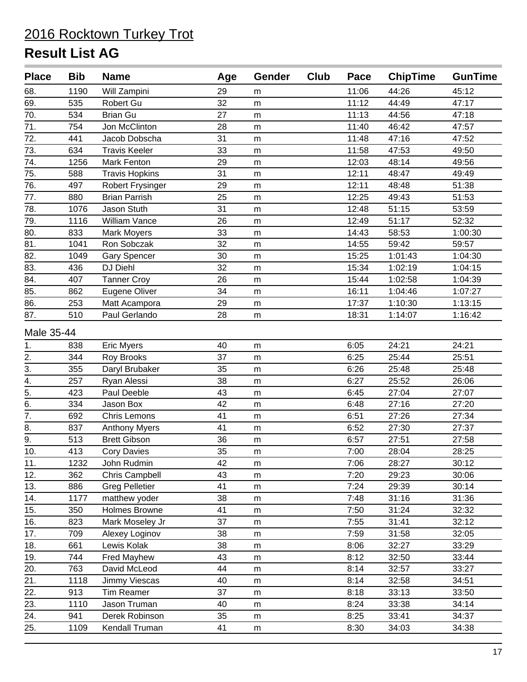| 68.<br>1190<br>Will Zampini<br>29<br>11:06<br>44:26<br>45:12<br>m<br>32<br>69.<br>535<br>Robert Gu<br>11:12<br>44:49<br>47:17<br>m<br>70.<br>11:13<br>534<br><b>Brian Gu</b><br>27<br>44:56<br>47:18<br>m<br>71.<br>754<br>Jon McClinton<br>28<br>11:40<br>46:42<br>47:57<br>m<br>72.<br>441<br>31<br>47:16<br>47:52<br>Jacob Dobscha<br>11:48<br>m<br>73.<br>634<br><b>Travis Keeler</b><br>33<br>11:58<br>47:53<br>49:50<br>m<br>74.<br>Mark Fenton<br>29<br>12:03<br>48:14<br>49:56<br>1256<br>m<br>75.<br>12:11<br>49:49<br>588<br><b>Travis Hopkins</b><br>31<br>48:47<br>m<br>76.<br>12:11<br>497<br>Robert Frysinger<br>29<br>48:48<br>51:38<br>m<br>77.<br>25<br>880<br><b>Brian Parrish</b><br>12:25<br>49:43<br>51:53<br>m<br>31<br>51:15<br>78.<br>1076<br>Jason Stuth<br>12:48<br>53:59<br>m<br>79.<br>1116<br>William Vance<br>26<br>12:49<br>52:32<br>51:17<br>m<br>80.<br>33<br>833<br>14:43<br>58:53<br>1:00:30<br>Mark Moyers<br>m<br>$\overline{81}$<br>32<br>1041<br>Ron Sobczak<br>14:55<br>59:42<br>59:57<br>m<br>82.<br>1049<br>30<br>15:25<br>1:01:43<br>1:04:30<br><b>Gary Spencer</b><br>m<br>83.<br>DJ Diehl<br>32<br>15:34<br>436<br>1:02:19<br>1:04:15<br>m<br>84.<br>407<br><b>Tanner Croy</b><br>26<br>15:44<br>1:02:58<br>1:04:39<br>m<br>85.<br>34<br>16:11<br>862<br>Eugene Oliver<br>1:04:46<br>1:07:27<br>${\sf m}$<br>86.<br>253<br>29<br>17:37<br>1:10:30<br>1:13:15<br>Matt Acampora<br>${\sf m}$<br>87.<br>28<br>510<br>Paul Gerlando<br>18:31<br>1:14:07<br>1:16:42<br>m<br>Male 35-44<br>24:21<br>24:21<br>838<br><b>Eric Myers</b><br>40<br>6:05<br>1.<br>m<br>2.<br>6:25<br>344<br>Roy Brooks<br>37<br>25:44<br>25:51<br>m<br>$\overline{3}$ .<br>355<br>35<br>6:26<br>25:48<br>25:48<br>Daryl Brubaker<br>m<br>$\overline{4}$ .<br>38<br>257<br>Ryan Alessi<br>6:27<br>25:52<br>26:06<br>m<br>$\frac{1}{5}$<br>423<br>Paul Deeble<br>43<br>6:45<br>27:04<br>27:07<br>m<br>6.<br>334<br>Jason Box<br>42<br>6:48<br>27:16<br>27:20<br>m<br>$\overline{7}$ .<br>692<br>27:26<br>27:34<br>Chris Lemons<br>41<br>6:51<br>m<br>8.<br>837<br>41<br>6:52<br>27:37<br><b>Anthony Myers</b><br>27:30<br>m<br>9.<br>513<br><b>Brett Gibson</b><br>36<br>6:57<br>27:51<br>27:58<br>m<br>10.<br>413<br><b>Cory Davies</b><br>35<br>7:00<br>28:04<br>28:25<br>m<br>11.<br>1232<br>John Rudmin<br>42<br>7:06<br>28:27<br>30:12<br>m<br>12.<br>7:20<br>362<br>Chris Campbell<br>43<br>29:23<br>30:06<br>m<br>13.<br>886<br><b>Greg Pelletier</b><br>41<br>7:24<br>29:39<br>30:14<br>m<br>38<br>31:36<br>14.<br>1177<br>matthew yoder<br>7:48<br>31:16<br>m<br>15.<br>350<br>Holmes Browne<br>41<br>7:50<br>31:24<br>32:32<br>m<br>16.<br>823<br>Mark Moseley Jr<br>37<br>7:55<br>32:12<br>31:41<br>m<br>17.<br>38<br>7:59<br>709<br>Alexey Loginov<br>31:58<br>32:05<br>m<br>18.<br>661<br>Lewis Kolak<br>38<br>32:27<br>33:29<br>8:06<br>m<br><b>Fred Mayhew</b><br>8:12<br>19.<br>744<br>43<br>32:50<br>33:44<br>m<br>20.<br>763<br>David McLeod<br>44<br>8:14<br>33:27<br>32:57<br>m<br>21.<br>Jimmy Viescas<br>8:14<br>32:58<br>34:51<br>1118<br>40<br>m<br>22.<br>913<br>Tim Reamer<br>37<br>8:18<br>33:13<br>33:50<br>m<br>23.<br>1110<br>Jason Truman<br>8:24<br>33:38<br>34:14<br>40<br>m<br>24.<br>941<br>Derek Robinson<br>35<br>8:25<br>33:41<br>34:37<br>m<br>25.<br>1109<br>34:03<br>34:38<br>Kendall Truman<br>41<br>8:30<br>m | <b>Place</b> | <b>Bib</b> | <b>Name</b> | Age | Gender | Club | Pace | <b>ChipTime</b> | <b>GunTime</b> |
|--------------------------------------------------------------------------------------------------------------------------------------------------------------------------------------------------------------------------------------------------------------------------------------------------------------------------------------------------------------------------------------------------------------------------------------------------------------------------------------------------------------------------------------------------------------------------------------------------------------------------------------------------------------------------------------------------------------------------------------------------------------------------------------------------------------------------------------------------------------------------------------------------------------------------------------------------------------------------------------------------------------------------------------------------------------------------------------------------------------------------------------------------------------------------------------------------------------------------------------------------------------------------------------------------------------------------------------------------------------------------------------------------------------------------------------------------------------------------------------------------------------------------------------------------------------------------------------------------------------------------------------------------------------------------------------------------------------------------------------------------------------------------------------------------------------------------------------------------------------------------------------------------------------------------------------------------------------------------------------------------------------------------------------------------------------------------------------------------------------------------------------------------------------------------------------------------------------------------------------------------------------------------------------------------------------------------------------------------------------------------------------------------------------------------------------------------------------------------------------------------------------------------------------------------------------------------------------------------------------------------------------------------------------------------------------------------------------------------------------------------------------------------------------------------------------------------------------------------------------------------------------------------------------------------------------------------------------------------------------------------------------------------------------------------------------------------------------------------------------------------------------------------------------------------------------------------------------------------------------------------------------------------------------------------------------------------------------------------------------------------|--------------|------------|-------------|-----|--------|------|------|-----------------|----------------|
|                                                                                                                                                                                                                                                                                                                                                                                                                                                                                                                                                                                                                                                                                                                                                                                                                                                                                                                                                                                                                                                                                                                                                                                                                                                                                                                                                                                                                                                                                                                                                                                                                                                                                                                                                                                                                                                                                                                                                                                                                                                                                                                                                                                                                                                                                                                                                                                                                                                                                                                                                                                                                                                                                                                                                                                                                                                                                                                                                                                                                                                                                                                                                                                                                                                                                                                                                                          |              |            |             |     |        |      |      |                 |                |
|                                                                                                                                                                                                                                                                                                                                                                                                                                                                                                                                                                                                                                                                                                                                                                                                                                                                                                                                                                                                                                                                                                                                                                                                                                                                                                                                                                                                                                                                                                                                                                                                                                                                                                                                                                                                                                                                                                                                                                                                                                                                                                                                                                                                                                                                                                                                                                                                                                                                                                                                                                                                                                                                                                                                                                                                                                                                                                                                                                                                                                                                                                                                                                                                                                                                                                                                                                          |              |            |             |     |        |      |      |                 |                |
|                                                                                                                                                                                                                                                                                                                                                                                                                                                                                                                                                                                                                                                                                                                                                                                                                                                                                                                                                                                                                                                                                                                                                                                                                                                                                                                                                                                                                                                                                                                                                                                                                                                                                                                                                                                                                                                                                                                                                                                                                                                                                                                                                                                                                                                                                                                                                                                                                                                                                                                                                                                                                                                                                                                                                                                                                                                                                                                                                                                                                                                                                                                                                                                                                                                                                                                                                                          |              |            |             |     |        |      |      |                 |                |
|                                                                                                                                                                                                                                                                                                                                                                                                                                                                                                                                                                                                                                                                                                                                                                                                                                                                                                                                                                                                                                                                                                                                                                                                                                                                                                                                                                                                                                                                                                                                                                                                                                                                                                                                                                                                                                                                                                                                                                                                                                                                                                                                                                                                                                                                                                                                                                                                                                                                                                                                                                                                                                                                                                                                                                                                                                                                                                                                                                                                                                                                                                                                                                                                                                                                                                                                                                          |              |            |             |     |        |      |      |                 |                |
|                                                                                                                                                                                                                                                                                                                                                                                                                                                                                                                                                                                                                                                                                                                                                                                                                                                                                                                                                                                                                                                                                                                                                                                                                                                                                                                                                                                                                                                                                                                                                                                                                                                                                                                                                                                                                                                                                                                                                                                                                                                                                                                                                                                                                                                                                                                                                                                                                                                                                                                                                                                                                                                                                                                                                                                                                                                                                                                                                                                                                                                                                                                                                                                                                                                                                                                                                                          |              |            |             |     |        |      |      |                 |                |
|                                                                                                                                                                                                                                                                                                                                                                                                                                                                                                                                                                                                                                                                                                                                                                                                                                                                                                                                                                                                                                                                                                                                                                                                                                                                                                                                                                                                                                                                                                                                                                                                                                                                                                                                                                                                                                                                                                                                                                                                                                                                                                                                                                                                                                                                                                                                                                                                                                                                                                                                                                                                                                                                                                                                                                                                                                                                                                                                                                                                                                                                                                                                                                                                                                                                                                                                                                          |              |            |             |     |        |      |      |                 |                |
|                                                                                                                                                                                                                                                                                                                                                                                                                                                                                                                                                                                                                                                                                                                                                                                                                                                                                                                                                                                                                                                                                                                                                                                                                                                                                                                                                                                                                                                                                                                                                                                                                                                                                                                                                                                                                                                                                                                                                                                                                                                                                                                                                                                                                                                                                                                                                                                                                                                                                                                                                                                                                                                                                                                                                                                                                                                                                                                                                                                                                                                                                                                                                                                                                                                                                                                                                                          |              |            |             |     |        |      |      |                 |                |
|                                                                                                                                                                                                                                                                                                                                                                                                                                                                                                                                                                                                                                                                                                                                                                                                                                                                                                                                                                                                                                                                                                                                                                                                                                                                                                                                                                                                                                                                                                                                                                                                                                                                                                                                                                                                                                                                                                                                                                                                                                                                                                                                                                                                                                                                                                                                                                                                                                                                                                                                                                                                                                                                                                                                                                                                                                                                                                                                                                                                                                                                                                                                                                                                                                                                                                                                                                          |              |            |             |     |        |      |      |                 |                |
|                                                                                                                                                                                                                                                                                                                                                                                                                                                                                                                                                                                                                                                                                                                                                                                                                                                                                                                                                                                                                                                                                                                                                                                                                                                                                                                                                                                                                                                                                                                                                                                                                                                                                                                                                                                                                                                                                                                                                                                                                                                                                                                                                                                                                                                                                                                                                                                                                                                                                                                                                                                                                                                                                                                                                                                                                                                                                                                                                                                                                                                                                                                                                                                                                                                                                                                                                                          |              |            |             |     |        |      |      |                 |                |
|                                                                                                                                                                                                                                                                                                                                                                                                                                                                                                                                                                                                                                                                                                                                                                                                                                                                                                                                                                                                                                                                                                                                                                                                                                                                                                                                                                                                                                                                                                                                                                                                                                                                                                                                                                                                                                                                                                                                                                                                                                                                                                                                                                                                                                                                                                                                                                                                                                                                                                                                                                                                                                                                                                                                                                                                                                                                                                                                                                                                                                                                                                                                                                                                                                                                                                                                                                          |              |            |             |     |        |      |      |                 |                |
|                                                                                                                                                                                                                                                                                                                                                                                                                                                                                                                                                                                                                                                                                                                                                                                                                                                                                                                                                                                                                                                                                                                                                                                                                                                                                                                                                                                                                                                                                                                                                                                                                                                                                                                                                                                                                                                                                                                                                                                                                                                                                                                                                                                                                                                                                                                                                                                                                                                                                                                                                                                                                                                                                                                                                                                                                                                                                                                                                                                                                                                                                                                                                                                                                                                                                                                                                                          |              |            |             |     |        |      |      |                 |                |
|                                                                                                                                                                                                                                                                                                                                                                                                                                                                                                                                                                                                                                                                                                                                                                                                                                                                                                                                                                                                                                                                                                                                                                                                                                                                                                                                                                                                                                                                                                                                                                                                                                                                                                                                                                                                                                                                                                                                                                                                                                                                                                                                                                                                                                                                                                                                                                                                                                                                                                                                                                                                                                                                                                                                                                                                                                                                                                                                                                                                                                                                                                                                                                                                                                                                                                                                                                          |              |            |             |     |        |      |      |                 |                |
|                                                                                                                                                                                                                                                                                                                                                                                                                                                                                                                                                                                                                                                                                                                                                                                                                                                                                                                                                                                                                                                                                                                                                                                                                                                                                                                                                                                                                                                                                                                                                                                                                                                                                                                                                                                                                                                                                                                                                                                                                                                                                                                                                                                                                                                                                                                                                                                                                                                                                                                                                                                                                                                                                                                                                                                                                                                                                                                                                                                                                                                                                                                                                                                                                                                                                                                                                                          |              |            |             |     |        |      |      |                 |                |
|                                                                                                                                                                                                                                                                                                                                                                                                                                                                                                                                                                                                                                                                                                                                                                                                                                                                                                                                                                                                                                                                                                                                                                                                                                                                                                                                                                                                                                                                                                                                                                                                                                                                                                                                                                                                                                                                                                                                                                                                                                                                                                                                                                                                                                                                                                                                                                                                                                                                                                                                                                                                                                                                                                                                                                                                                                                                                                                                                                                                                                                                                                                                                                                                                                                                                                                                                                          |              |            |             |     |        |      |      |                 |                |
|                                                                                                                                                                                                                                                                                                                                                                                                                                                                                                                                                                                                                                                                                                                                                                                                                                                                                                                                                                                                                                                                                                                                                                                                                                                                                                                                                                                                                                                                                                                                                                                                                                                                                                                                                                                                                                                                                                                                                                                                                                                                                                                                                                                                                                                                                                                                                                                                                                                                                                                                                                                                                                                                                                                                                                                                                                                                                                                                                                                                                                                                                                                                                                                                                                                                                                                                                                          |              |            |             |     |        |      |      |                 |                |
|                                                                                                                                                                                                                                                                                                                                                                                                                                                                                                                                                                                                                                                                                                                                                                                                                                                                                                                                                                                                                                                                                                                                                                                                                                                                                                                                                                                                                                                                                                                                                                                                                                                                                                                                                                                                                                                                                                                                                                                                                                                                                                                                                                                                                                                                                                                                                                                                                                                                                                                                                                                                                                                                                                                                                                                                                                                                                                                                                                                                                                                                                                                                                                                                                                                                                                                                                                          |              |            |             |     |        |      |      |                 |                |
|                                                                                                                                                                                                                                                                                                                                                                                                                                                                                                                                                                                                                                                                                                                                                                                                                                                                                                                                                                                                                                                                                                                                                                                                                                                                                                                                                                                                                                                                                                                                                                                                                                                                                                                                                                                                                                                                                                                                                                                                                                                                                                                                                                                                                                                                                                                                                                                                                                                                                                                                                                                                                                                                                                                                                                                                                                                                                                                                                                                                                                                                                                                                                                                                                                                                                                                                                                          |              |            |             |     |        |      |      |                 |                |
|                                                                                                                                                                                                                                                                                                                                                                                                                                                                                                                                                                                                                                                                                                                                                                                                                                                                                                                                                                                                                                                                                                                                                                                                                                                                                                                                                                                                                                                                                                                                                                                                                                                                                                                                                                                                                                                                                                                                                                                                                                                                                                                                                                                                                                                                                                                                                                                                                                                                                                                                                                                                                                                                                                                                                                                                                                                                                                                                                                                                                                                                                                                                                                                                                                                                                                                                                                          |              |            |             |     |        |      |      |                 |                |
|                                                                                                                                                                                                                                                                                                                                                                                                                                                                                                                                                                                                                                                                                                                                                                                                                                                                                                                                                                                                                                                                                                                                                                                                                                                                                                                                                                                                                                                                                                                                                                                                                                                                                                                                                                                                                                                                                                                                                                                                                                                                                                                                                                                                                                                                                                                                                                                                                                                                                                                                                                                                                                                                                                                                                                                                                                                                                                                                                                                                                                                                                                                                                                                                                                                                                                                                                                          |              |            |             |     |        |      |      |                 |                |
|                                                                                                                                                                                                                                                                                                                                                                                                                                                                                                                                                                                                                                                                                                                                                                                                                                                                                                                                                                                                                                                                                                                                                                                                                                                                                                                                                                                                                                                                                                                                                                                                                                                                                                                                                                                                                                                                                                                                                                                                                                                                                                                                                                                                                                                                                                                                                                                                                                                                                                                                                                                                                                                                                                                                                                                                                                                                                                                                                                                                                                                                                                                                                                                                                                                                                                                                                                          |              |            |             |     |        |      |      |                 |                |
|                                                                                                                                                                                                                                                                                                                                                                                                                                                                                                                                                                                                                                                                                                                                                                                                                                                                                                                                                                                                                                                                                                                                                                                                                                                                                                                                                                                                                                                                                                                                                                                                                                                                                                                                                                                                                                                                                                                                                                                                                                                                                                                                                                                                                                                                                                                                                                                                                                                                                                                                                                                                                                                                                                                                                                                                                                                                                                                                                                                                                                                                                                                                                                                                                                                                                                                                                                          |              |            |             |     |        |      |      |                 |                |
|                                                                                                                                                                                                                                                                                                                                                                                                                                                                                                                                                                                                                                                                                                                                                                                                                                                                                                                                                                                                                                                                                                                                                                                                                                                                                                                                                                                                                                                                                                                                                                                                                                                                                                                                                                                                                                                                                                                                                                                                                                                                                                                                                                                                                                                                                                                                                                                                                                                                                                                                                                                                                                                                                                                                                                                                                                                                                                                                                                                                                                                                                                                                                                                                                                                                                                                                                                          |              |            |             |     |        |      |      |                 |                |
|                                                                                                                                                                                                                                                                                                                                                                                                                                                                                                                                                                                                                                                                                                                                                                                                                                                                                                                                                                                                                                                                                                                                                                                                                                                                                                                                                                                                                                                                                                                                                                                                                                                                                                                                                                                                                                                                                                                                                                                                                                                                                                                                                                                                                                                                                                                                                                                                                                                                                                                                                                                                                                                                                                                                                                                                                                                                                                                                                                                                                                                                                                                                                                                                                                                                                                                                                                          |              |            |             |     |        |      |      |                 |                |
|                                                                                                                                                                                                                                                                                                                                                                                                                                                                                                                                                                                                                                                                                                                                                                                                                                                                                                                                                                                                                                                                                                                                                                                                                                                                                                                                                                                                                                                                                                                                                                                                                                                                                                                                                                                                                                                                                                                                                                                                                                                                                                                                                                                                                                                                                                                                                                                                                                                                                                                                                                                                                                                                                                                                                                                                                                                                                                                                                                                                                                                                                                                                                                                                                                                                                                                                                                          |              |            |             |     |        |      |      |                 |                |
|                                                                                                                                                                                                                                                                                                                                                                                                                                                                                                                                                                                                                                                                                                                                                                                                                                                                                                                                                                                                                                                                                                                                                                                                                                                                                                                                                                                                                                                                                                                                                                                                                                                                                                                                                                                                                                                                                                                                                                                                                                                                                                                                                                                                                                                                                                                                                                                                                                                                                                                                                                                                                                                                                                                                                                                                                                                                                                                                                                                                                                                                                                                                                                                                                                                                                                                                                                          |              |            |             |     |        |      |      |                 |                |
|                                                                                                                                                                                                                                                                                                                                                                                                                                                                                                                                                                                                                                                                                                                                                                                                                                                                                                                                                                                                                                                                                                                                                                                                                                                                                                                                                                                                                                                                                                                                                                                                                                                                                                                                                                                                                                                                                                                                                                                                                                                                                                                                                                                                                                                                                                                                                                                                                                                                                                                                                                                                                                                                                                                                                                                                                                                                                                                                                                                                                                                                                                                                                                                                                                                                                                                                                                          |              |            |             |     |        |      |      |                 |                |
|                                                                                                                                                                                                                                                                                                                                                                                                                                                                                                                                                                                                                                                                                                                                                                                                                                                                                                                                                                                                                                                                                                                                                                                                                                                                                                                                                                                                                                                                                                                                                                                                                                                                                                                                                                                                                                                                                                                                                                                                                                                                                                                                                                                                                                                                                                                                                                                                                                                                                                                                                                                                                                                                                                                                                                                                                                                                                                                                                                                                                                                                                                                                                                                                                                                                                                                                                                          |              |            |             |     |        |      |      |                 |                |
|                                                                                                                                                                                                                                                                                                                                                                                                                                                                                                                                                                                                                                                                                                                                                                                                                                                                                                                                                                                                                                                                                                                                                                                                                                                                                                                                                                                                                                                                                                                                                                                                                                                                                                                                                                                                                                                                                                                                                                                                                                                                                                                                                                                                                                                                                                                                                                                                                                                                                                                                                                                                                                                                                                                                                                                                                                                                                                                                                                                                                                                                                                                                                                                                                                                                                                                                                                          |              |            |             |     |        |      |      |                 |                |
|                                                                                                                                                                                                                                                                                                                                                                                                                                                                                                                                                                                                                                                                                                                                                                                                                                                                                                                                                                                                                                                                                                                                                                                                                                                                                                                                                                                                                                                                                                                                                                                                                                                                                                                                                                                                                                                                                                                                                                                                                                                                                                                                                                                                                                                                                                                                                                                                                                                                                                                                                                                                                                                                                                                                                                                                                                                                                                                                                                                                                                                                                                                                                                                                                                                                                                                                                                          |              |            |             |     |        |      |      |                 |                |
|                                                                                                                                                                                                                                                                                                                                                                                                                                                                                                                                                                                                                                                                                                                                                                                                                                                                                                                                                                                                                                                                                                                                                                                                                                                                                                                                                                                                                                                                                                                                                                                                                                                                                                                                                                                                                                                                                                                                                                                                                                                                                                                                                                                                                                                                                                                                                                                                                                                                                                                                                                                                                                                                                                                                                                                                                                                                                                                                                                                                                                                                                                                                                                                                                                                                                                                                                                          |              |            |             |     |        |      |      |                 |                |
|                                                                                                                                                                                                                                                                                                                                                                                                                                                                                                                                                                                                                                                                                                                                                                                                                                                                                                                                                                                                                                                                                                                                                                                                                                                                                                                                                                                                                                                                                                                                                                                                                                                                                                                                                                                                                                                                                                                                                                                                                                                                                                                                                                                                                                                                                                                                                                                                                                                                                                                                                                                                                                                                                                                                                                                                                                                                                                                                                                                                                                                                                                                                                                                                                                                                                                                                                                          |              |            |             |     |        |      |      |                 |                |
|                                                                                                                                                                                                                                                                                                                                                                                                                                                                                                                                                                                                                                                                                                                                                                                                                                                                                                                                                                                                                                                                                                                                                                                                                                                                                                                                                                                                                                                                                                                                                                                                                                                                                                                                                                                                                                                                                                                                                                                                                                                                                                                                                                                                                                                                                                                                                                                                                                                                                                                                                                                                                                                                                                                                                                                                                                                                                                                                                                                                                                                                                                                                                                                                                                                                                                                                                                          |              |            |             |     |        |      |      |                 |                |
|                                                                                                                                                                                                                                                                                                                                                                                                                                                                                                                                                                                                                                                                                                                                                                                                                                                                                                                                                                                                                                                                                                                                                                                                                                                                                                                                                                                                                                                                                                                                                                                                                                                                                                                                                                                                                                                                                                                                                                                                                                                                                                                                                                                                                                                                                                                                                                                                                                                                                                                                                                                                                                                                                                                                                                                                                                                                                                                                                                                                                                                                                                                                                                                                                                                                                                                                                                          |              |            |             |     |        |      |      |                 |                |
|                                                                                                                                                                                                                                                                                                                                                                                                                                                                                                                                                                                                                                                                                                                                                                                                                                                                                                                                                                                                                                                                                                                                                                                                                                                                                                                                                                                                                                                                                                                                                                                                                                                                                                                                                                                                                                                                                                                                                                                                                                                                                                                                                                                                                                                                                                                                                                                                                                                                                                                                                                                                                                                                                                                                                                                                                                                                                                                                                                                                                                                                                                                                                                                                                                                                                                                                                                          |              |            |             |     |        |      |      |                 |                |
|                                                                                                                                                                                                                                                                                                                                                                                                                                                                                                                                                                                                                                                                                                                                                                                                                                                                                                                                                                                                                                                                                                                                                                                                                                                                                                                                                                                                                                                                                                                                                                                                                                                                                                                                                                                                                                                                                                                                                                                                                                                                                                                                                                                                                                                                                                                                                                                                                                                                                                                                                                                                                                                                                                                                                                                                                                                                                                                                                                                                                                                                                                                                                                                                                                                                                                                                                                          |              |            |             |     |        |      |      |                 |                |
|                                                                                                                                                                                                                                                                                                                                                                                                                                                                                                                                                                                                                                                                                                                                                                                                                                                                                                                                                                                                                                                                                                                                                                                                                                                                                                                                                                                                                                                                                                                                                                                                                                                                                                                                                                                                                                                                                                                                                                                                                                                                                                                                                                                                                                                                                                                                                                                                                                                                                                                                                                                                                                                                                                                                                                                                                                                                                                                                                                                                                                                                                                                                                                                                                                                                                                                                                                          |              |            |             |     |        |      |      |                 |                |
|                                                                                                                                                                                                                                                                                                                                                                                                                                                                                                                                                                                                                                                                                                                                                                                                                                                                                                                                                                                                                                                                                                                                                                                                                                                                                                                                                                                                                                                                                                                                                                                                                                                                                                                                                                                                                                                                                                                                                                                                                                                                                                                                                                                                                                                                                                                                                                                                                                                                                                                                                                                                                                                                                                                                                                                                                                                                                                                                                                                                                                                                                                                                                                                                                                                                                                                                                                          |              |            |             |     |        |      |      |                 |                |
|                                                                                                                                                                                                                                                                                                                                                                                                                                                                                                                                                                                                                                                                                                                                                                                                                                                                                                                                                                                                                                                                                                                                                                                                                                                                                                                                                                                                                                                                                                                                                                                                                                                                                                                                                                                                                                                                                                                                                                                                                                                                                                                                                                                                                                                                                                                                                                                                                                                                                                                                                                                                                                                                                                                                                                                                                                                                                                                                                                                                                                                                                                                                                                                                                                                                                                                                                                          |              |            |             |     |        |      |      |                 |                |
|                                                                                                                                                                                                                                                                                                                                                                                                                                                                                                                                                                                                                                                                                                                                                                                                                                                                                                                                                                                                                                                                                                                                                                                                                                                                                                                                                                                                                                                                                                                                                                                                                                                                                                                                                                                                                                                                                                                                                                                                                                                                                                                                                                                                                                                                                                                                                                                                                                                                                                                                                                                                                                                                                                                                                                                                                                                                                                                                                                                                                                                                                                                                                                                                                                                                                                                                                                          |              |            |             |     |        |      |      |                 |                |
|                                                                                                                                                                                                                                                                                                                                                                                                                                                                                                                                                                                                                                                                                                                                                                                                                                                                                                                                                                                                                                                                                                                                                                                                                                                                                                                                                                                                                                                                                                                                                                                                                                                                                                                                                                                                                                                                                                                                                                                                                                                                                                                                                                                                                                                                                                                                                                                                                                                                                                                                                                                                                                                                                                                                                                                                                                                                                                                                                                                                                                                                                                                                                                                                                                                                                                                                                                          |              |            |             |     |        |      |      |                 |                |
|                                                                                                                                                                                                                                                                                                                                                                                                                                                                                                                                                                                                                                                                                                                                                                                                                                                                                                                                                                                                                                                                                                                                                                                                                                                                                                                                                                                                                                                                                                                                                                                                                                                                                                                                                                                                                                                                                                                                                                                                                                                                                                                                                                                                                                                                                                                                                                                                                                                                                                                                                                                                                                                                                                                                                                                                                                                                                                                                                                                                                                                                                                                                                                                                                                                                                                                                                                          |              |            |             |     |        |      |      |                 |                |
|                                                                                                                                                                                                                                                                                                                                                                                                                                                                                                                                                                                                                                                                                                                                                                                                                                                                                                                                                                                                                                                                                                                                                                                                                                                                                                                                                                                                                                                                                                                                                                                                                                                                                                                                                                                                                                                                                                                                                                                                                                                                                                                                                                                                                                                                                                                                                                                                                                                                                                                                                                                                                                                                                                                                                                                                                                                                                                                                                                                                                                                                                                                                                                                                                                                                                                                                                                          |              |            |             |     |        |      |      |                 |                |
|                                                                                                                                                                                                                                                                                                                                                                                                                                                                                                                                                                                                                                                                                                                                                                                                                                                                                                                                                                                                                                                                                                                                                                                                                                                                                                                                                                                                                                                                                                                                                                                                                                                                                                                                                                                                                                                                                                                                                                                                                                                                                                                                                                                                                                                                                                                                                                                                                                                                                                                                                                                                                                                                                                                                                                                                                                                                                                                                                                                                                                                                                                                                                                                                                                                                                                                                                                          |              |            |             |     |        |      |      |                 |                |
|                                                                                                                                                                                                                                                                                                                                                                                                                                                                                                                                                                                                                                                                                                                                                                                                                                                                                                                                                                                                                                                                                                                                                                                                                                                                                                                                                                                                                                                                                                                                                                                                                                                                                                                                                                                                                                                                                                                                                                                                                                                                                                                                                                                                                                                                                                                                                                                                                                                                                                                                                                                                                                                                                                                                                                                                                                                                                                                                                                                                                                                                                                                                                                                                                                                                                                                                                                          |              |            |             |     |        |      |      |                 |                |
|                                                                                                                                                                                                                                                                                                                                                                                                                                                                                                                                                                                                                                                                                                                                                                                                                                                                                                                                                                                                                                                                                                                                                                                                                                                                                                                                                                                                                                                                                                                                                                                                                                                                                                                                                                                                                                                                                                                                                                                                                                                                                                                                                                                                                                                                                                                                                                                                                                                                                                                                                                                                                                                                                                                                                                                                                                                                                                                                                                                                                                                                                                                                                                                                                                                                                                                                                                          |              |            |             |     |        |      |      |                 |                |
|                                                                                                                                                                                                                                                                                                                                                                                                                                                                                                                                                                                                                                                                                                                                                                                                                                                                                                                                                                                                                                                                                                                                                                                                                                                                                                                                                                                                                                                                                                                                                                                                                                                                                                                                                                                                                                                                                                                                                                                                                                                                                                                                                                                                                                                                                                                                                                                                                                                                                                                                                                                                                                                                                                                                                                                                                                                                                                                                                                                                                                                                                                                                                                                                                                                                                                                                                                          |              |            |             |     |        |      |      |                 |                |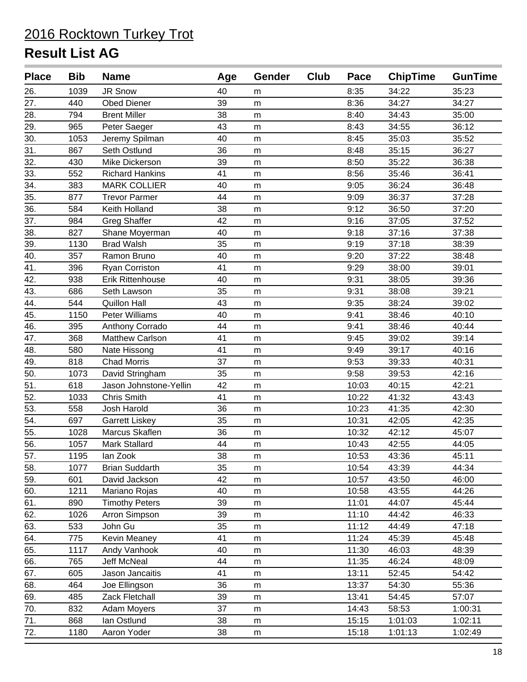| <b>Place</b>      | <b>Bib</b> | <b>Name</b>             | Age | <b>Gender</b> | Club | Pace  | <b>ChipTime</b> | <b>GunTime</b> |
|-------------------|------------|-------------------------|-----|---------------|------|-------|-----------------|----------------|
| 26.               | 1039       | JR Snow                 | 40  | m             |      | 8:35  | 34:22           | 35:23          |
| 27.               | 440        | <b>Obed Diener</b>      | 39  | m             |      | 8:36  | 34:27           | 34:27          |
| 28.               | 794        | <b>Brent Miller</b>     | 38  | m             |      | 8:40  | 34:43           | 35:00          |
| 29.               | 965        | Peter Saeger            | 43  | m             |      | 8:43  | 34:55           | 36:12          |
| 30.               | 1053       | Jeremy Spilman          | 40  | m             |      | 8:45  | 35:03           | 35:52          |
| 31.               | 867        | Seth Ostlund            | 36  | m             |      | 8:48  | 35:15           | 36:27          |
| 32.               | 430        | Mike Dickerson          | 39  | m             |      | 8:50  | 35:22           | 36:38          |
| 33.               | 552        | <b>Richard Hankins</b>  | 41  | m             |      | 8:56  | 35:46           | 36:41          |
| 34.               | 383        | <b>MARK COLLIER</b>     | 40  | m             |      | 9:05  | 36:24           | 36:48          |
| 35.               | 877        | <b>Trevor Parmer</b>    | 44  | m             |      | 9:09  | 36:37           | 37:28          |
| 36.               | 584        | Keith Holland           | 38  | m             |      | 9:12  | 36:50           | 37:20          |
| 37.               | 984        | <b>Greg Shaffer</b>     | 42  | m             |      | 9:16  | 37:05           | 37:52          |
| 38.               | 827        | Shane Moyerman          | 40  | m             |      | 9:18  | 37:16           | 37:38          |
| 39.               | 1130       | <b>Brad Walsh</b>       | 35  | m             |      | 9:19  | 37:18           | 38:39          |
| 40.               | 357        | Ramon Bruno             | 40  | m             |      | 9:20  | 37:22           | 38:48          |
| 41.               | 396        | <b>Ryan Corriston</b>   | 41  | m             |      | 9:29  | 38:00           | 39:01          |
| 42.               | 938        | <b>Erik Rittenhouse</b> | 40  | m             |      | 9:31  | 38:05           | 39:36          |
| 43.               | 686        | Seth Lawson             | 35  | m             |      | 9:31  | 38:08           | 39:21          |
| 44.               | 544        | <b>Quillon Hall</b>     | 43  | m             |      | 9:35  | 38:24           | 39:02          |
| 45.               | 1150       | <b>Peter Williams</b>   | 40  | m             |      | 9:41  | 38:46           | 40:10          |
| 46.               | 395        | Anthony Corrado         | 44  | m             |      | 9:41  | 38:46           | 40:44          |
| 47.               | 368        | <b>Matthew Carlson</b>  | 41  | m             |      | 9:45  | 39:02           | 39:14          |
| 48.               | 580        | Nate Hissong            | 41  | m             |      | 9:49  | 39:17           | 40:16          |
| 49.               | 818        | <b>Chad Morris</b>      | 37  | m             |      | 9:53  | 39:33           | 40:31          |
| 50.               | 1073       | David Stringham         | 35  | m             |      | 9:58  | 39:53           | 42:16          |
| 51.               | 618        | Jason Johnstone-Yellin  | 42  | m             |      | 10:03 | 40:15           | 42:21          |
| 52.               | 1033       | <b>Chris Smith</b>      | 41  | m             |      | 10:22 | 41:32           | 43:43          |
| 53.               | 558        | Josh Harold             | 36  | m             |      | 10:23 | 41:35           | 42:30          |
| 54.               | 697        | <b>Garrett Liskey</b>   | 35  | m             |      | 10:31 | 42:05           | 42:35          |
| $\overline{55}$ . | 1028       | Marcus Skaflen          | 36  | m             |      | 10:32 | 42:12           | 45:07          |
| 56.               | 1057       | Mark Stallard           | 44  | ${\sf m}$     |      | 10:43 | 42:55           | 44:05          |
| 57.               | 1195       | lan Zook                | 38  | m             |      | 10:53 | 43:36           | 45:11          |
| 58.               | 1077       | <b>Brian Suddarth</b>   | 35  | m             |      | 10:54 | 43:39           | 44:34          |
| 59.               | 601        | David Jackson           | 42  | m             |      | 10:57 | 43:50           | 46:00          |
| 60.               | 1211       | Mariano Rojas           | 40  | m             |      | 10:58 | 43:55           | 44:26          |
| 61.               | 890        | <b>Timothy Peters</b>   | 39  | m             |      | 11:01 | 44:07           | 45:44          |
| 62.               | 1026       | Arron Simpson           | 39  | m             |      | 11:10 | 44:42           | 46:33          |
| 63.               | 533        | John Gu                 | 35  | m             |      | 11:12 | 44:49           | 47:18          |
| 64.               | 775        | <b>Kevin Meaney</b>     | 41  | m             |      | 11:24 | 45:39           | 45:48          |
| 65.               | 1117       | Andy Vanhook            | 40  | m             |      | 11:30 | 46:03           | 48:39          |
| 66.               | 765        | <b>Jeff McNeal</b>      | 44  | m             |      | 11:35 | 46:24           | 48:09          |
| 67.               | 605        | Jason Jancaitis         | 41  | m             |      | 13:11 | 52:45           | 54:42          |
| 68.               | 464        | Joe Ellingson           | 36  | m             |      | 13:37 | 54:30           | 55:36          |
| 69.               | 485        | Zack Fletchall          | 39  | ${\sf m}$     |      | 13:41 | 54:45           | 57:07          |
| 70.               | 832        | Adam Moyers             | 37  | m             |      | 14:43 | 58:53           | 1:00:31        |
| 71.               | 868        | Ian Ostlund             | 38  | m             |      | 15:15 | 1:01:03         | 1:02:11        |
| 72.               | 1180       | Aaron Yoder             | 38  | m             |      | 15:18 | 1:01:13         | 1:02:49        |
|                   |            |                         |     |               |      |       |                 |                |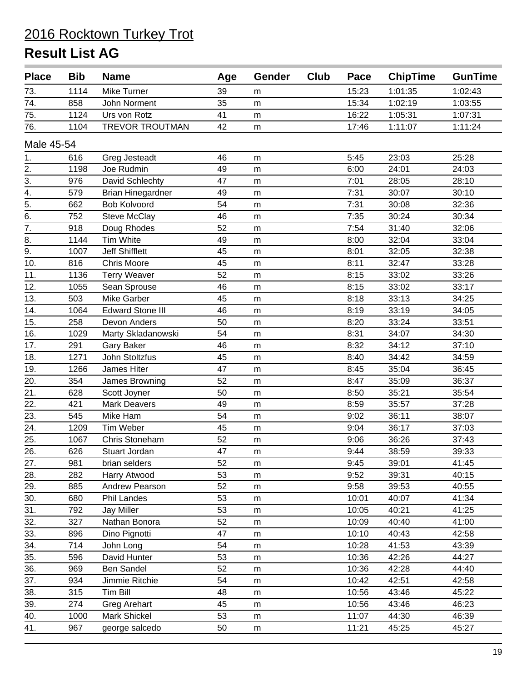| <b>Place</b>      | <b>Bib</b> | <b>Name</b>              | Age | <b>Gender</b> | Club | Pace  | <b>ChipTime</b> | <b>GunTime</b> |
|-------------------|------------|--------------------------|-----|---------------|------|-------|-----------------|----------------|
| 73.               | 1114       | Mike Turner              | 39  | m             |      | 15:23 | 1:01:35         | 1:02:43        |
| 74.               | 858        | John Norment             | 35  | m             |      | 15:34 | 1:02:19         | 1:03:55        |
| 75.               | 1124       | Urs von Rotz             | 41  | m             |      | 16:22 | 1:05:31         | 1:07:31        |
| 76.               | 1104       | <b>TREVOR TROUTMAN</b>   | 42  | m             |      | 17:46 | 1:11:07         | 1:11:24        |
| Male 45-54        |            |                          |     |               |      |       |                 |                |
| 1.                | 616        | Greg Jesteadt            | 46  | m             |      | 5:45  | 23:03           | 25:28          |
| 2.                | 1198       | Joe Rudmin               | 49  | m             |      | 6:00  | 24:01           | 24:03          |
| $\overline{3}$ .  | 976        | David Schlechty          | 47  | m             |      | 7:01  | 28:05           | 28:10          |
| $\overline{4}$ .  | 579        | <b>Brian Hinegardner</b> | 49  | m             |      | 7:31  | 30:07           | 30:10          |
| $\overline{5}$ .  | 662        | <b>Bob Kolvoord</b>      | 54  | m             |      | 7:31  | 30:08           | 32:36          |
| $\overline{6}$ .  | 752        | <b>Steve McClay</b>      | 46  | m             |      | 7:35  | 30:24           | 30:34          |
| $\overline{7}$ .  | 918        | Doug Rhodes              | 52  | m             |      | 7:54  | 31:40           | 32:06          |
| 8.                | 1144       | Tim White                | 49  | m             |      | 8:00  | 32:04           | 33:04          |
| 9.                | 1007       | <b>Jeff Shifflett</b>    | 45  | m             |      | 8:01  | 32:05           | 32:38          |
| 10.               | 816        | <b>Chris Moore</b>       | 45  | m             |      | 8:11  | 32:47           | 33:28          |
| 11.               | 1136       | <b>Terry Weaver</b>      | 52  | m             |      | 8:15  | 33:02           | 33:26          |
| 12.               | 1055       | Sean Sprouse             | 46  | m             |      | 8:15  | 33:02           | 33:17          |
| 13.               | 503        | <b>Mike Garber</b>       | 45  | m             |      | 8:18  | 33:13           | 34:25          |
| 14.               | 1064       | <b>Edward Stone III</b>  | 46  | m             |      | 8:19  | 33:19           | 34:05          |
| 15.               | 258        | Devon Anders             | 50  | m             |      | 8:20  | 33:24           | 33:51          |
| 16.               | 1029       | Marty Skladanowski       | 54  | m             |      | 8:31  | 34:07           | 34:30          |
| 17.               | 291        | Gary Baker               | 46  | m             |      | 8:32  | 34:12           | 37:10          |
| 18.               | 1271       | John Stoltzfus           | 45  | m             |      | 8:40  | 34:42           | 34:59          |
| 19.               | 1266       | James Hiter              | 47  | m             |      | 8:45  | 35:04           | 36:45          |
| 20.               | 354        | James Browning           | 52  | m             |      | 8:47  | 35:09           | 36:37          |
| 21.               | 628        | Scott Joyner             | 50  | m             |      | 8:50  | 35:21           | 35:54          |
| 22.               | 421        | <b>Mark Deavers</b>      | 49  | m             |      | 8:59  | 35:57           | 37:28          |
| 23.               | 545        | Mike Ham                 | 54  | m             |      | 9:02  | 36:11           | 38:07          |
| 24.               | 1209       | Tim Weber                | 45  | m             |      | 9:04  | 36:17           | 37:03          |
| 25.               | 1067       | Chris Stoneham           | 52  | m             |      | 9:06  | 36:26           | 37:43          |
| $\overline{26}$ . | 626        | Stuart Jordan            | 47  | m             |      | 9:44  | 38:59           | 39:33          |
| 27.               | 981        | brian selders            | 52  | m             |      | 9:45  | 39:01           | 41:45          |
| 28.               | 282        | Harry Atwood             | 53  | m             |      | 9:52  | 39:31           | 40:15          |
| 29.               | 885        | Andrew Pearson           | 52  | m             |      | 9:58  | 39:53           | 40:55          |
| 30.               | 680        | Phil Landes              | 53  | m             |      | 10:01 | 40:07           | 41:34          |
| 31.               | 792        | Jay Miller               | 53  | m             |      | 10:05 | 40:21           | 41:25          |
| 32.               | 327        | Nathan Bonora            | 52  | m             |      | 10:09 | 40:40           | 41:00          |
| 33.               | 896        | Dino Pignotti            | 47  | m             |      | 10:10 | 40:43           | 42:58          |
| 34.               | 714        | John Long                | 54  | m             |      | 10:28 | 41:53           | 43:39          |
| 35.               | 596        | David Hunter             | 53  | m             |      | 10:36 | 42:26           | 44:27          |
| 36.               | 969        | <b>Ben Sandel</b>        | 52  | m             |      | 10:36 | 42:28           | 44:40          |
| 37.               | 934        | Jimmie Ritchie           | 54  | m             |      | 10:42 | 42:51           | 42:58          |
| 38.               | 315        | <b>Tim Bill</b>          | 48  | m             |      | 10:56 | 43:46           | 45:22          |
| 39.               | 274        | <b>Greg Arehart</b>      | 45  | m             |      | 10:56 | 43:46           | 46:23          |
| 40.               | 1000       | Mark Shickel             | 53  | m             |      | 11:07 | 44:30           | 46:39          |
| 41.               | 967        | george salcedo           | 50  | m             |      | 11:21 | 45:25           | 45:27          |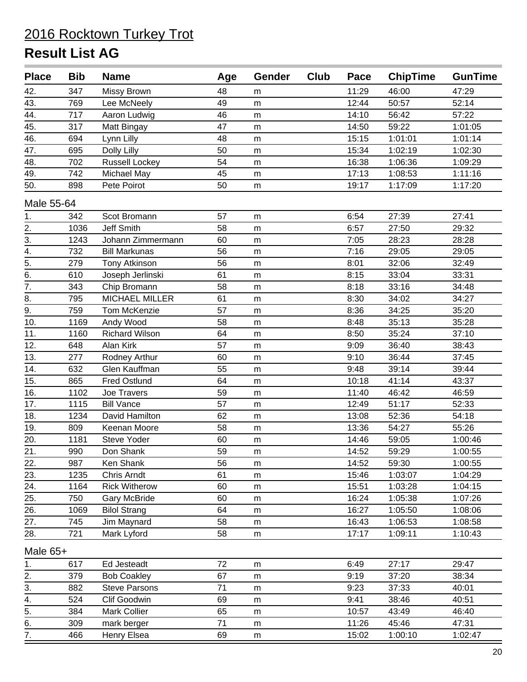| <b>Place</b>      | <b>Bib</b> | <b>Name</b>           | Age | <b>Gender</b> | Club | Pace  | <b>ChipTime</b> | <b>GunTime</b> |
|-------------------|------------|-----------------------|-----|---------------|------|-------|-----------------|----------------|
| 42.               | 347        | Missy Brown           | 48  | m             |      | 11:29 | 46:00           | 47:29          |
| 43.               | 769        | Lee McNeely           | 49  | m             |      | 12:44 | 50:57           | 52:14          |
| 44.               | 717        | Aaron Ludwig          | 46  | m             |      | 14:10 | 56:42           | 57:22          |
| 45.               | 317        | Matt Bingay           | 47  | m             |      | 14:50 | 59:22           | 1:01:05        |
| 46.               | 694        | Lynn Lilly            | 48  | m             |      | 15:15 | 1:01:01         | 1:01:14        |
| 47.               | 695        | Dolly Lilly           | 50  | m             |      | 15:34 | 1:02:19         | 1:02:30        |
| 48.               | 702        | <b>Russell Lockey</b> | 54  | m             |      | 16:38 | 1:06:36         | 1:09:29        |
| 49.               | 742        | Michael May           | 45  | m             |      | 17:13 | 1:08:53         | 1:11:16        |
| 50.               | 898        | Pete Poirot           | 50  | m             |      | 19:17 | 1:17:09         | 1:17:20        |
| Male 55-64        |            |                       |     |               |      |       |                 |                |
| 1.                | 342        | Scot Bromann          | 57  | m             |      | 6:54  | 27:39           | 27:41          |
| $\frac{2}{3}$ .   | 1036       | <b>Jeff Smith</b>     | 58  | m             |      | 6:57  | 27:50           | 29:32          |
|                   | 1243       | Johann Zimmermann     | 60  | m             |      | 7:05  | 28:23           | 28:28          |
| $\overline{4}$ .  | 732        | <b>Bill Markunas</b>  | 56  | m             |      | 7:16  | 29:05           | 29:05          |
| $\overline{5}$ .  | 279        | Tony Atkinson         | 56  | m             |      | 8:01  | 32:06           | 32:49          |
| $\overline{6}$ .  | 610        | Joseph Jerlinski      | 61  | m             |      | 8:15  | 33:04           | 33:31          |
| 7.                | 343        | Chip Bromann          | 58  | m             |      | 8:18  | 33:16           | 34:48          |
| 8.                | 795        | MICHAEL MILLER        | 61  | m             |      | 8:30  | 34:02           | 34:27          |
| $\overline{9}$ .  | 759        | Tom McKenzie          | 57  | m             |      | 8:36  | 34:25           | 35:20          |
| 10.               | 1169       | Andy Wood             | 58  | m             |      | 8:48  | 35:13           | 35:28          |
| 11.               | 1160       | <b>Richard Wilson</b> | 64  | m             |      | 8:50  | 35:24           | 37:10          |
| 12.               | 648        | Alan Kirk             | 57  | m             |      | 9:09  | 36:40           | 38:43          |
| 13.               | 277        | Rodney Arthur         | 60  | m             |      | 9:10  | 36:44           | 37:45          |
| $\overline{14}$ . | 632        | Glen Kauffman         | 55  | m             |      | 9:48  | 39:14           | 39:44          |
| 15.               | 865        | <b>Fred Ostlund</b>   | 64  | m             |      | 10:18 | 41:14           | 43:37          |
| 16.               | 1102       | Joe Travers           | 59  | m             |      | 11:40 | 46:42           | 46:59          |
| 17.               | 1115       | <b>Bill Vance</b>     | 57  | m             |      | 12:49 | 51:17           | 52:33          |
| 18.               | 1234       | David Hamilton        | 62  | m             |      | 13:08 | 52:36           | 54:18          |
| 19.               | 809        | Keenan Moore          | 58  | m             |      | 13:36 | 54:27           | 55:26          |
| 20.               | 1181       | Steve Yoder           | 60  | m             |      | 14:46 | 59:05           | 1:00:46        |
| 21.               | 990        | Don Shank             | 59  | m             |      | 14:52 | 59:29           | 1:00:55        |
| 22.               | 987        | Ken Shank             | 56  | m             |      | 14:52 | 59:30           | 1:00:55        |
| 23.               | 1235       | Chris Arndt           | 61  | m             |      | 15:46 | 1:03:07         | 1:04:29        |
| $\overline{24}$ . | 1164       | <b>Rick Witherow</b>  | 60  | m             |      | 15:51 | 1:03:28         | 1:04:15        |
| 25.               | 750        | <b>Gary McBride</b>   | 60  | m             |      | 16:24 | 1:05:38         | 1:07:26        |
| 26.               | 1069       | <b>Bilol Strang</b>   | 64  | m             |      | 16:27 | 1:05:50         | 1:08:06        |
| 27.               | 745        | Jim Maynard           | 58  | m             |      | 16:43 | 1:06:53         | 1:08:58        |
| 28.               | 721        | Mark Lyford           | 58  | m             |      | 17:17 | 1:09:11         | 1:10:43        |
| Male 65+          |            |                       |     |               |      |       |                 |                |
| 1.                | 617        | Ed Jesteadt           | 72  | m             |      | 6:49  | 27:17           | 29:47          |
| 2.                | 379        | <b>Bob Coakley</b>    | 67  | m             |      | 9:19  | 37:20           | 38:34          |
| 3.                | 882        | <b>Steve Parsons</b>  | 71  | m             |      | 9:23  | 37:33           | 40:01          |
| 4.                | 524        | Clif Goodwin          | 69  | m             |      | 9:41  | 38:46           | 40:51          |
| 5.                | 384        | Mark Collier          | 65  | m             |      | 10:57 | 43:49           | 46:40          |
| $rac{6}{7}$       | 309        | mark berger           | 71  | m             |      | 11:26 | 45:46           | 47:31          |
|                   | 466        | Henry Elsea           | 69  | m             |      | 15:02 | 1:00:10         | 1:02:47        |